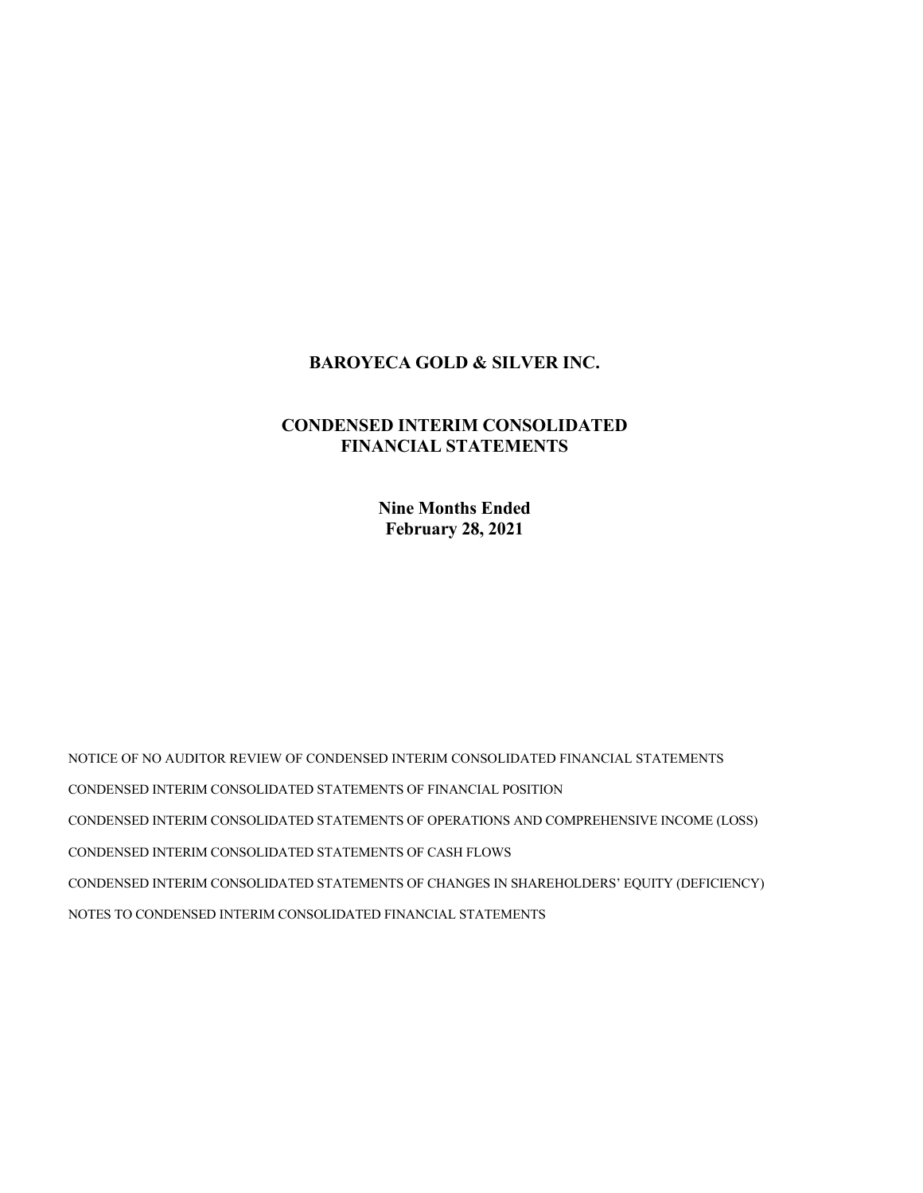# BAROYECA GOLD & SILVER INC.

# CONDENSED INTERIM CONSOLIDATED FINANCIAL STATEMENTS

Nine Months Ended February 28, 2021

NOTICE OF NO AUDITOR REVIEW OF CONDENSED INTERIM CONSOLIDATED FINANCIAL STATEMENTS CONDENSED INTERIM CONSOLIDATED STATEMENTS OF FINANCIAL POSITION CONDENSED INTERIM CONSOLIDATED STATEMENTS OF OPERATIONS AND COMPREHENSIVE INCOME (LOSS) CONDENSED INTERIM CONSOLIDATED STATEMENTS OF CASH FLOWS CONDENSED INTERIM CONSOLIDATED STATEMENTS OF CHANGES IN SHAREHOLDERS' EQUITY (DEFICIENCY) NOTES TO CONDENSED INTERIM CONSOLIDATED FINANCIAL STATEMENTS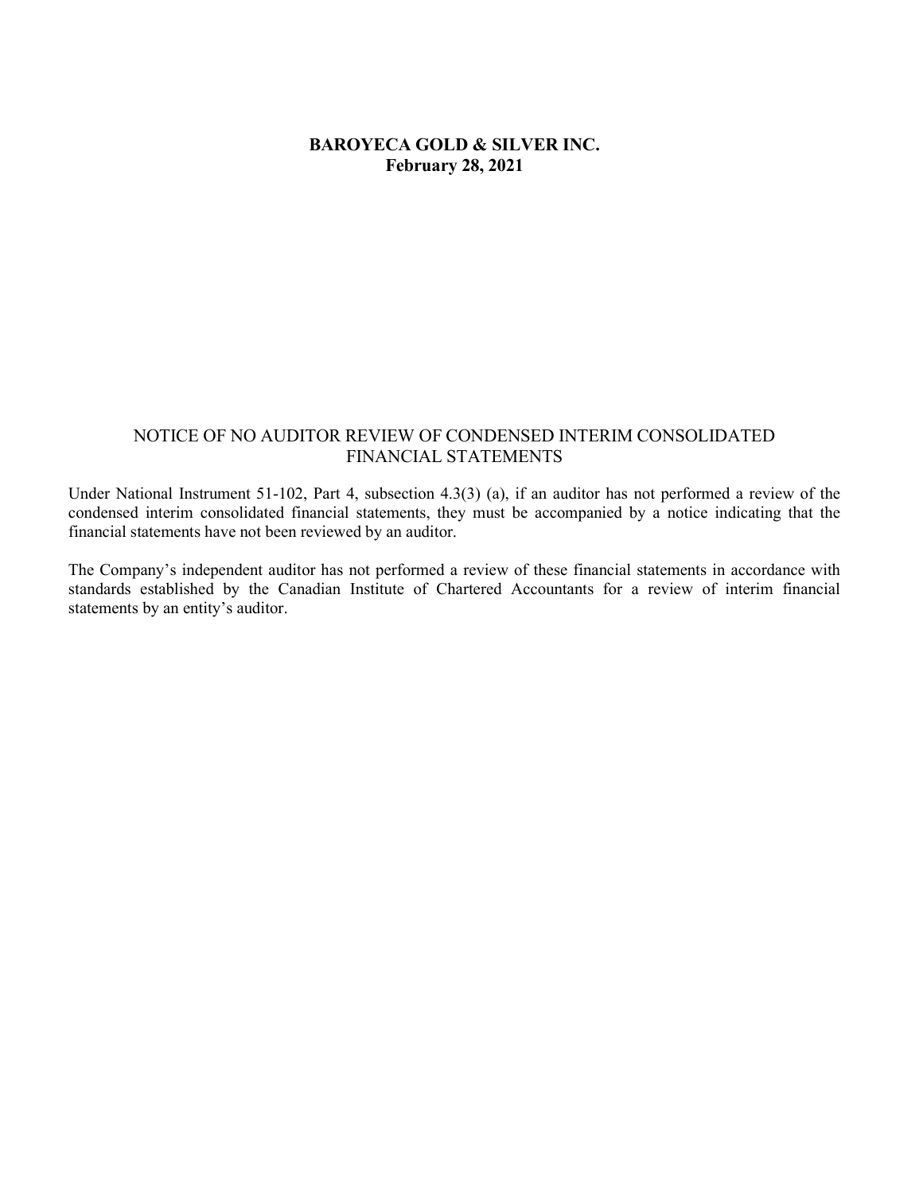# BAROYECA GOLD & SILVER INC. February 28, 2021

# NOTICE OF NO AUDITOR REVIEW OF CONDENSED INTERIM CONSOLIDATED FINANCIAL STATEMENTS

Under National Instrument 51-102, Part 4, subsection 4.3(3) (a), if an auditor has not performed a review of the condensed interim consolidated financial statements, they must be accompanied by a notice indicating that the financial statements have not been reviewed by an auditor.

The Company's independent auditor has not performed a review of these financial statements in accordance with standards established by the Canadian Institute of Chartered Accountants for a review of interim financial statements by an entity's auditor.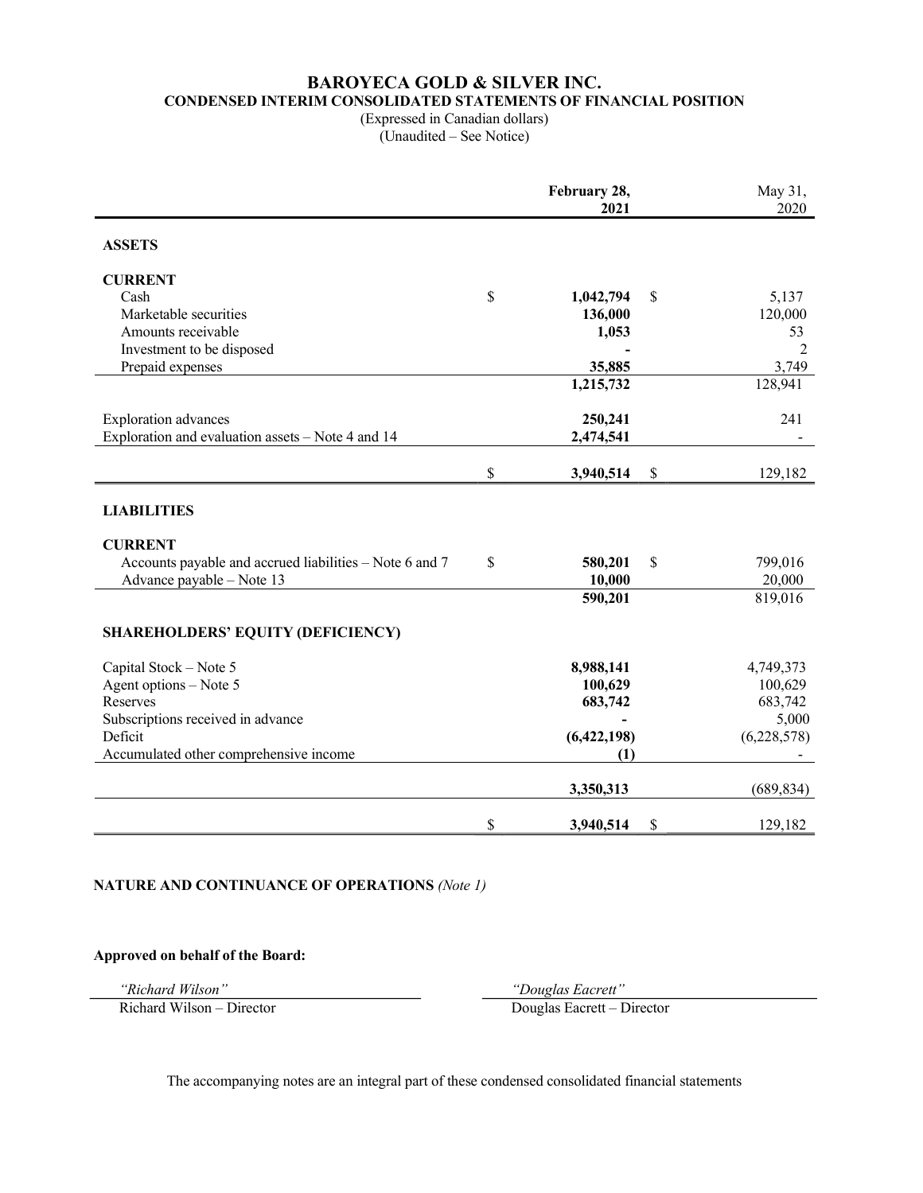# BAROYECA GOLD & SILVER INC. CONDENSED INTERIM CONSOLIDATED STATEMENTS OF FINANCIAL POSITION

(Expressed in Canadian dollars) (Unaudited – See Notice)

|                                                         | February 28,<br>2021 | May 31,<br>2020 |
|---------------------------------------------------------|----------------------|-----------------|
| <b>ASSETS</b>                                           |                      |                 |
| <b>CURRENT</b>                                          |                      |                 |
| Cash                                                    | \$<br>1,042,794      | \$<br>5,137     |
| Marketable securities                                   | 136,000              | 120,000         |
| Amounts receivable                                      | 1,053                | 53              |
| Investment to be disposed                               |                      | $\overline{2}$  |
| Prepaid expenses                                        | 35,885               | 3,749           |
|                                                         | 1,215,732            | 128,941         |
| <b>Exploration</b> advances                             | 250,241              | 241             |
| Exploration and evaluation assets - Note 4 and 14       | 2,474,541            |                 |
|                                                         | \$<br>3,940,514      | \$<br>129,182   |
| <b>LIABILITIES</b>                                      |                      |                 |
| <b>CURRENT</b>                                          |                      |                 |
| Accounts payable and accrued liabilities – Note 6 and 7 | \$<br>580,201        | \$<br>799,016   |
| Advance payable - Note 13                               | 10,000               | 20,000          |
|                                                         | 590,201              | 819,016         |
| <b>SHAREHOLDERS' EQUITY (DEFICIENCY)</b>                |                      |                 |
| Capital Stock - Note 5                                  | 8,988,141            | 4,749,373       |
| Agent options - Note 5                                  | 100,629              | 100,629         |
| Reserves                                                | 683,742              | 683,742         |
| Subscriptions received in advance                       |                      | 5,000           |
| Deficit                                                 | (6,422,198)          | (6,228,578)     |
| Accumulated other comprehensive income                  | (1)                  |                 |
|                                                         | 3,350,313            | (689, 834)      |
|                                                         | \$<br>3,940,514      | \$<br>129,182   |

#### NATURE AND CONTINUANCE OF OPERATIONS (Note 1)

Approved on behalf of the Board:

"Richard Wilson" "Douglas Eacrett"

Richard Wilson – Director Douglas Eacrett – Director

The accompanying notes are an integral part of these condensed consolidated financial statements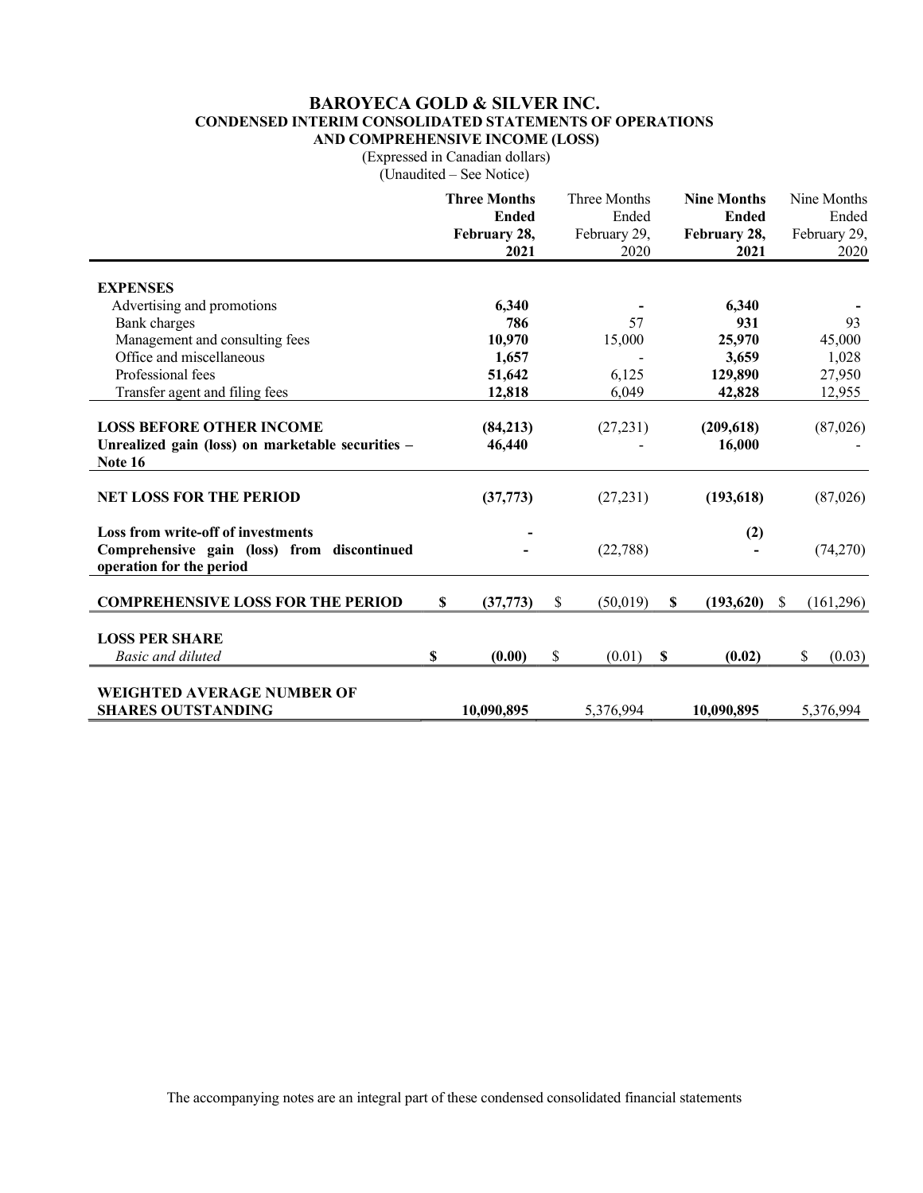### BAROYECA GOLD & SILVER INC. CONDENSED INTERIM CONSOLIDATED STATEMENTS OF OPERATIONS AND COMPREHENSIVE INCOME (LOSS)

(Expressed in Canadian dollars)

(Unaudited – See Notice)

|                                                                                                                      |    | <b>Three Months</b><br><b>Ended</b><br>February 28, | Three Months<br>Ended<br>February 29, |   | <b>Nine Months</b><br><b>Ended</b><br>February 28, |               | Nine Months<br>Ended<br>February 29, |
|----------------------------------------------------------------------------------------------------------------------|----|-----------------------------------------------------|---------------------------------------|---|----------------------------------------------------|---------------|--------------------------------------|
|                                                                                                                      |    | 2021                                                | 2020                                  |   | 2021                                               |               | 2020                                 |
| <b>EXPENSES</b>                                                                                                      |    |                                                     |                                       |   |                                                    |               |                                      |
| Advertising and promotions                                                                                           |    | 6,340                                               |                                       |   | 6,340                                              |               |                                      |
| <b>Bank</b> charges                                                                                                  |    | 786                                                 | 57                                    |   | 931                                                |               | 93                                   |
| Management and consulting fees                                                                                       |    | 10,970                                              | 15,000                                |   | 25,970                                             |               | 45,000                               |
| Office and miscellaneous                                                                                             |    | 1,657                                               |                                       |   | 3,659                                              |               | 1,028                                |
| Professional fees                                                                                                    |    | 51,642                                              | 6,125                                 |   | 129,890                                            |               | 27,950                               |
| Transfer agent and filing fees                                                                                       |    | 12,818                                              | 6,049                                 |   | 42,828                                             |               | 12,955                               |
| <b>LOSS BEFORE OTHER INCOME</b><br>Unrealized gain (loss) on marketable securities -<br>Note 16                      |    | (84,213)<br>46,440                                  | (27, 231)                             |   | (209, 618)<br>16,000                               |               | (87,026)                             |
| <b>NET LOSS FOR THE PERIOD</b>                                                                                       |    | (37, 773)                                           | (27, 231)                             |   | (193, 618)                                         |               | (87,026)                             |
| <b>Loss from write-off of investments</b><br>Comprehensive gain (loss) from discontinued<br>operation for the period |    |                                                     | (22,788)                              |   | (2)                                                |               | (74,270)                             |
| <b>COMPREHENSIVE LOSS FOR THE PERIOD</b>                                                                             | \$ | (37,773)                                            | \$<br>(50,019)                        | S | (193,620)                                          | <sup>\$</sup> | (161,296)                            |
| <b>LOSS PER SHARE</b><br><b>Basic and diluted</b>                                                                    | S  | (0.00)                                              | \$<br>(0.01)                          | S | (0.02)                                             |               | \$<br>(0.03)                         |
|                                                                                                                      |    |                                                     |                                       |   |                                                    |               |                                      |
| WEIGHTED AVERAGE NUMBER OF<br><b>SHARES OUTSTANDING</b>                                                              |    | 10.090.895                                          | 5,376,994                             |   | 10,090,895                                         |               | 5,376,994                            |

The accompanying notes are an integral part of these condensed consolidated financial statements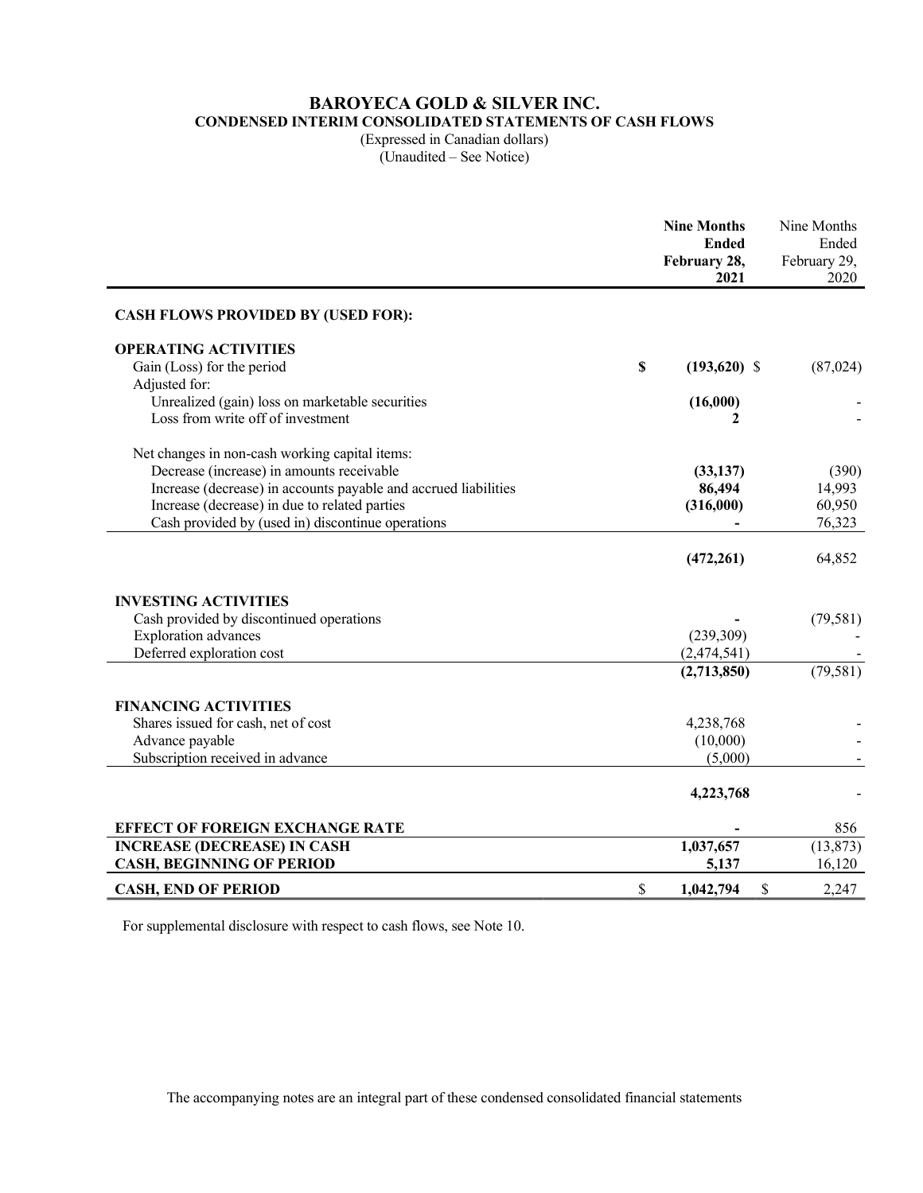# BAROYECA GOLD & SILVER INC.

CONDENSED INTERIM CONSOLIDATED STATEMENTS OF CASH FLOWS

(Expressed in Canadian dollars) (Unaudited – See Notice)

|                                                                 | <b>Nine Months</b><br><b>Ended</b><br>February 28,<br>2021 | Nine Months<br>Ended<br>February 29,<br>2020 |
|-----------------------------------------------------------------|------------------------------------------------------------|----------------------------------------------|
| <b>CASH FLOWS PROVIDED BY (USED FOR):</b>                       |                                                            |                                              |
| <b>OPERATING ACTIVITIES</b>                                     |                                                            |                                              |
| Gain (Loss) for the period                                      | \$<br>$(193,620)$ \$                                       | (87, 024)                                    |
| Adjusted for:                                                   |                                                            |                                              |
| Unrealized (gain) loss on marketable securities                 | (16,000)                                                   |                                              |
| Loss from write off of investment                               |                                                            |                                              |
| Net changes in non-cash working capital items:                  |                                                            |                                              |
| Decrease (increase) in amounts receivable                       | (33, 137)                                                  | (390)                                        |
| Increase (decrease) in accounts payable and accrued liabilities | 86,494                                                     | 14,993                                       |
| Increase (decrease) in due to related parties                   | (316,000)                                                  | 60,950                                       |
| Cash provided by (used in) discontinue operations               |                                                            | 76,323                                       |
|                                                                 |                                                            |                                              |
|                                                                 | (472, 261)                                                 | 64,852                                       |
| <b>INVESTING ACTIVITIES</b>                                     |                                                            |                                              |
| Cash provided by discontinued operations                        |                                                            | (79, 581)                                    |
| <b>Exploration</b> advances                                     | (239,309)                                                  |                                              |
| Deferred exploration cost                                       | (2,474,541)                                                |                                              |
|                                                                 | (2,713,850)                                                | (79, 581)                                    |
| <b>FINANCING ACTIVITIES</b>                                     |                                                            |                                              |
| Shares issued for cash, net of cost                             | 4,238,768                                                  |                                              |
| Advance payable                                                 | (10,000)                                                   |                                              |
| Subscription received in advance                                | (5,000)                                                    |                                              |
|                                                                 |                                                            |                                              |
|                                                                 | 4,223,768                                                  |                                              |
| <b>EFFECT OF FOREIGN EXCHANGE RATE</b>                          |                                                            | 856                                          |
| <b>INCREASE (DECREASE) IN CASH</b>                              | 1,037,657                                                  | (13, 873)                                    |
| <b>CASH, BEGINNING OF PERIOD</b>                                | 5,137                                                      | 16,120                                       |
| <b>CASH, END OF PERIOD</b>                                      | \$<br>\$<br>1,042,794                                      | 2,247                                        |

For supplemental disclosure with respect to cash flows, see Note 10.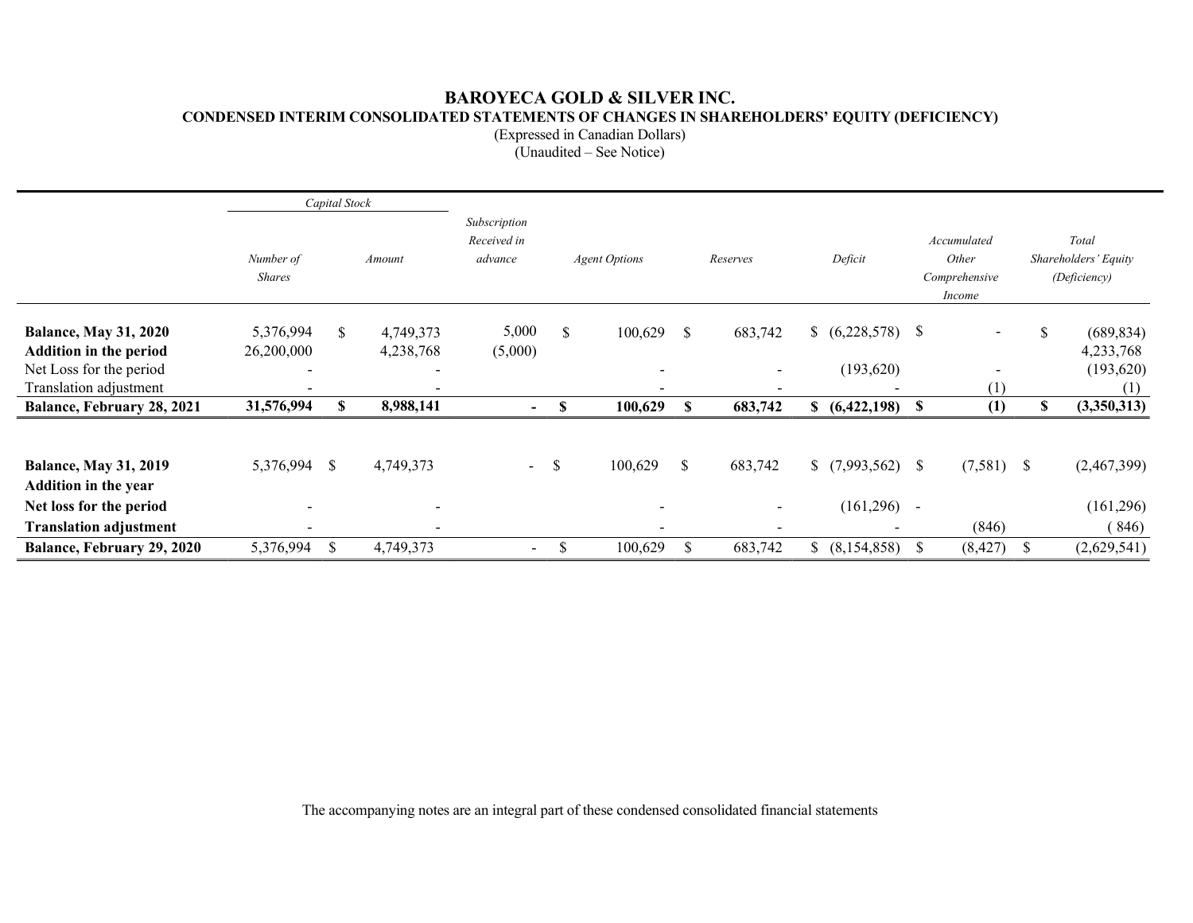# BAROYECA GOLD & SILVER INC. CONDENSED INTERIM CONSOLIDATED STATEMENTS OF CHANGES IN SHAREHOLDERS' EQUITY (DEFICIENCY)

(Expressed in Canadian Dollars)

(Unaudited – See Notice)

|                                                             |                                        | Capital Stock |                          |                                        |                                  |                          |              |                          |         |                   |                                                        |              |                                               |                         |
|-------------------------------------------------------------|----------------------------------------|---------------|--------------------------|----------------------------------------|----------------------------------|--------------------------|--------------|--------------------------|---------|-------------------|--------------------------------------------------------|--------------|-----------------------------------------------|-------------------------|
|                                                             | Number of<br>Amount<br><b>Shares</b>   |               |                          | Subscription<br>Received in<br>advance | <b>Agent Options</b><br>Reserves |                          |              |                          | Deficit |                   | Accumulated<br>Other<br>Comprehensive<br><i>Income</i> |              | Total<br>Shareholders' Equity<br>(Deficiency) |                         |
| <b>Balance, May 31, 2020</b>                                | 5,376,994                              | \$.           | 4,749,373                | 5,000                                  | \$                               | 100,629                  | \$           | 683,742                  |         | (6,228,578)       | $\mathbf{s}$                                           |              |                                               | (689, 834)<br>\$.       |
| <b>Addition in the period</b><br>Net Loss for the period    | 26,200,000<br>$\overline{\phantom{a}}$ |               | 4,238,768                | (5,000)                                |                                  | $\overline{\phantom{a}}$ |              | $\overline{\phantom{a}}$ |         | (193, 620)        |                                                        |              |                                               | 4,233,768<br>(193, 620) |
| Translation adjustment<br>Balance, February 28, 2021        | 31,576,994                             | S             | 8,988,141                | $\blacksquare$                         | S                                | 100,629                  | S            | 683,742                  |         | \$ (6,422,198) \$ |                                                        | (1)<br>(1)   |                                               | (1)<br>(3,350,313)<br>S |
|                                                             |                                        |               |                          |                                        |                                  |                          |              |                          |         |                   |                                                        |              |                                               |                         |
| <b>Balance, May 31, 2019</b><br><b>Addition in the year</b> | 5,376,994 \$                           |               | 4,749,373                | $\blacksquare$                         | -S                               | 100,629                  | \$           | 683,742                  |         |                   |                                                        | $(7,581)$ \$ |                                               | (2,467,399)             |
| Net loss for the period                                     |                                        |               |                          |                                        |                                  | $\overline{\phantom{a}}$ |              | $\sim$                   |         | (161,296)         | $\sim$                                                 |              |                                               | (161,296)               |
| <b>Translation adjustment</b>                               | $\overline{\phantom{a}}$               |               | $\overline{\phantom{a}}$ |                                        |                                  | $\overline{\phantom{a}}$ |              |                          |         |                   |                                                        | (846)        |                                               | (846)                   |
| Balance, February 29, 2020                                  | 5,376,994                              | <sup>S</sup>  | 4,749,373                | $\sim$                                 | S.                               | 100,629                  | <sup>S</sup> | 683,742                  |         | \$ (8,154,858)    | - \$                                                   | (8, 427)     | -S                                            | (2,629,541)             |

The accompanying notes are an integral part of these condensed consolidated financial statements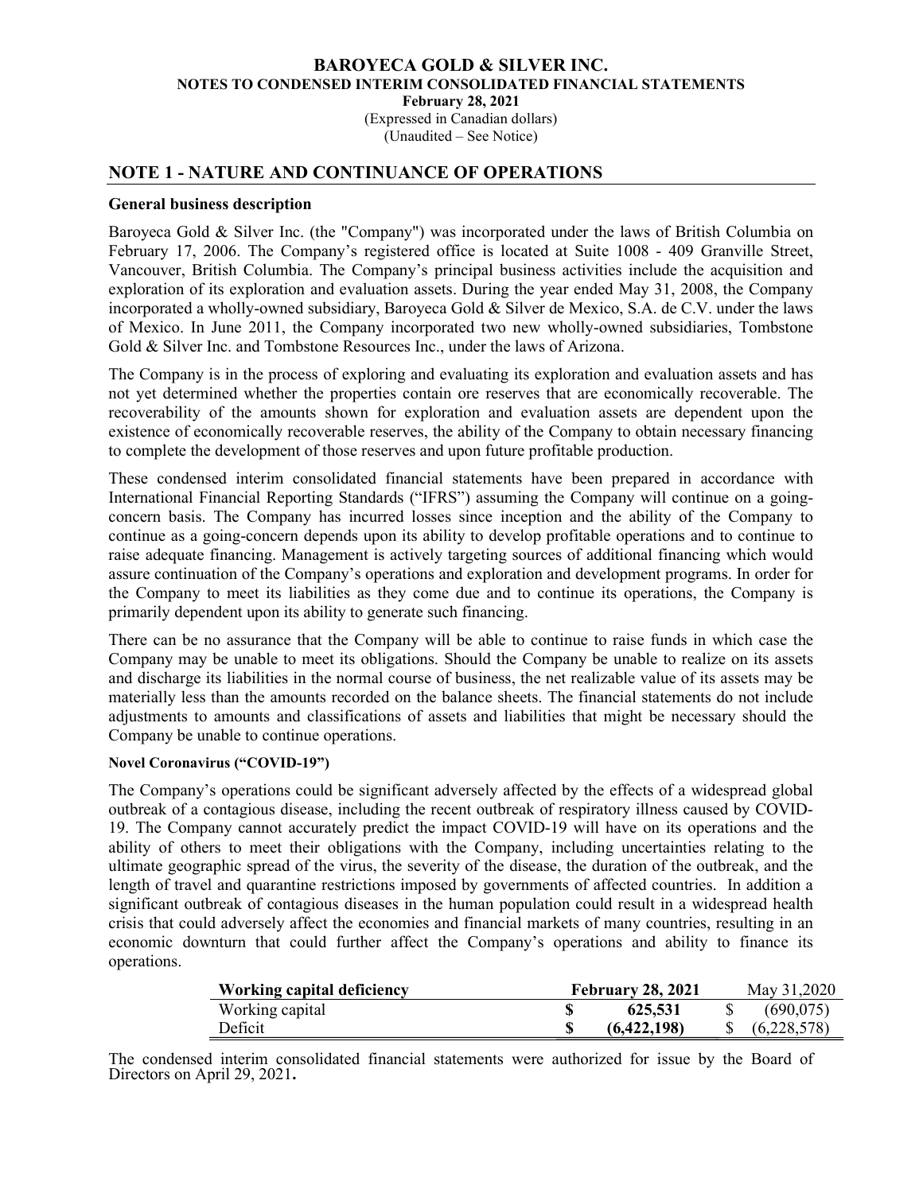(Expressed in Canadian dollars) (Unaudited – See Notice)

### NOTE 1 - NATURE AND CONTINUANCE OF OPERATIONS

#### General business description

Baroyeca Gold & Silver Inc. (the "Company") was incorporated under the laws of British Columbia on February 17, 2006. The Company's registered office is located at Suite 1008 - 409 Granville Street, Vancouver, British Columbia. The Company's principal business activities include the acquisition and exploration of its exploration and evaluation assets. During the year ended May 31, 2008, the Company incorporated a wholly-owned subsidiary, Baroyeca Gold & Silver de Mexico, S.A. de C.V. under the laws of Mexico. In June 2011, the Company incorporated two new wholly-owned subsidiaries, Tombstone Gold & Silver Inc. and Tombstone Resources Inc., under the laws of Arizona.

The Company is in the process of exploring and evaluating its exploration and evaluation assets and has not yet determined whether the properties contain ore reserves that are economically recoverable. The recoverability of the amounts shown for exploration and evaluation assets are dependent upon the existence of economically recoverable reserves, the ability of the Company to obtain necessary financing to complete the development of those reserves and upon future profitable production.

These condensed interim consolidated financial statements have been prepared in accordance with International Financial Reporting Standards ("IFRS") assuming the Company will continue on a goingconcern basis. The Company has incurred losses since inception and the ability of the Company to continue as a going-concern depends upon its ability to develop profitable operations and to continue to raise adequate financing. Management is actively targeting sources of additional financing which would assure continuation of the Company's operations and exploration and development programs. In order for the Company to meet its liabilities as they come due and to continue its operations, the Company is primarily dependent upon its ability to generate such financing.

There can be no assurance that the Company will be able to continue to raise funds in which case the Company may be unable to meet its obligations. Should the Company be unable to realize on its assets and discharge its liabilities in the normal course of business, the net realizable value of its assets may be materially less than the amounts recorded on the balance sheets. The financial statements do not include adjustments to amounts and classifications of assets and liabilities that might be necessary should the Company be unable to continue operations.

### Novel Coronavirus ("COVID-19")

The Company's operations could be significant adversely affected by the effects of a widespread global outbreak of a contagious disease, including the recent outbreak of respiratory illness caused by COVID-19. The Company cannot accurately predict the impact COVID-19 will have on its operations and the ability of others to meet their obligations with the Company, including uncertainties relating to the ultimate geographic spread of the virus, the severity of the disease, the duration of the outbreak, and the length of travel and quarantine restrictions imposed by governments of affected countries. In addition a significant outbreak of contagious diseases in the human population could result in a widespread health crisis that could adversely affect the economies and financial markets of many countries, resulting in an economic downturn that could further affect the Company's operations and ability to finance its operations.

| <b>Working capital deficiency</b> | <b>February 28, 2021</b> | May 31,2020 |
|-----------------------------------|--------------------------|-------------|
| Working capital                   | 625,531                  | (690.075)   |
| Deficit                           | (6,422,198)              | (6,228,578) |

The condensed interim consolidated financial statements were authorized for issue by the Board of Directors on April 29, 2021.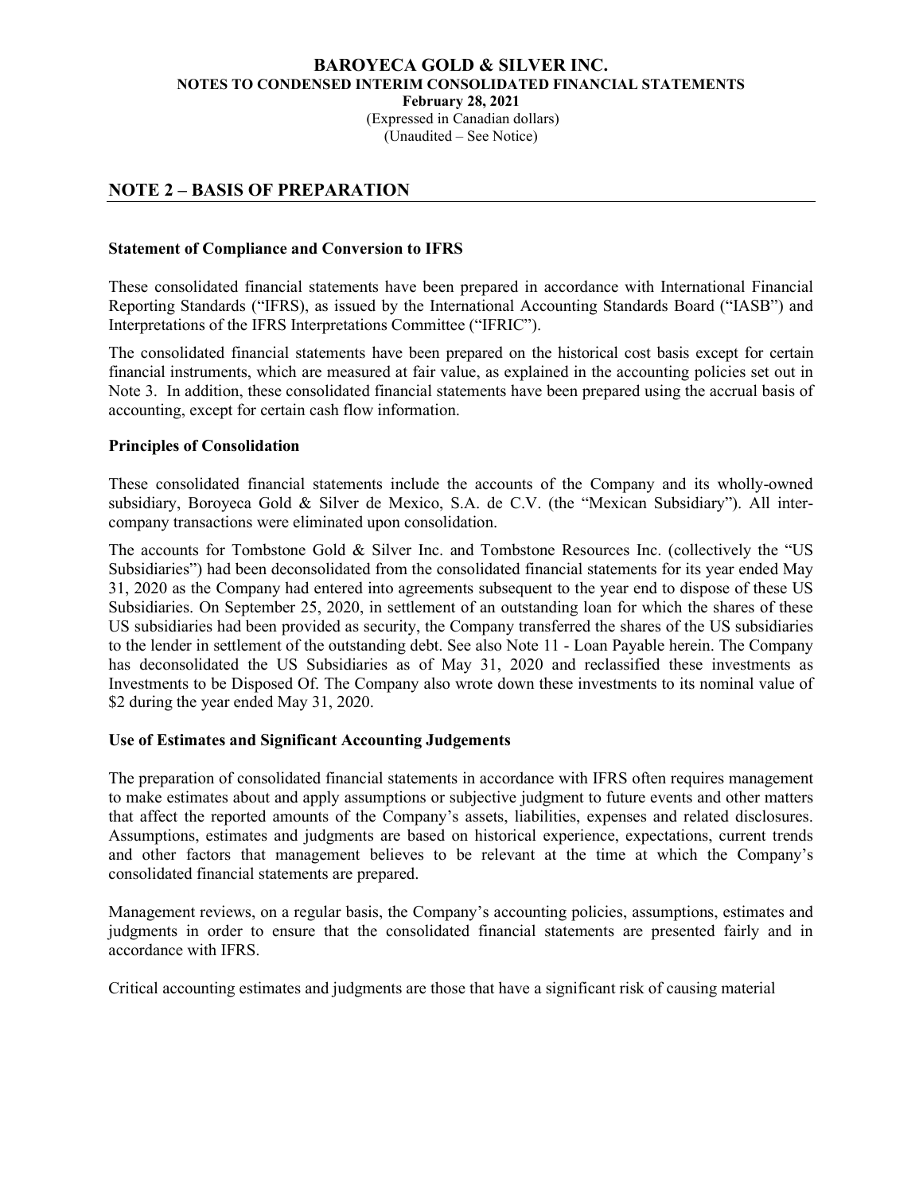(Expressed in Canadian dollars) (Unaudited – See Notice)

# NOTE 2 – BASIS OF PREPARATION

### Statement of Compliance and Conversion to IFRS

These consolidated financial statements have been prepared in accordance with International Financial Reporting Standards ("IFRS), as issued by the International Accounting Standards Board ("IASB") and Interpretations of the IFRS Interpretations Committee ("IFRIC").

The consolidated financial statements have been prepared on the historical cost basis except for certain financial instruments, which are measured at fair value, as explained in the accounting policies set out in Note 3. In addition, these consolidated financial statements have been prepared using the accrual basis of accounting, except for certain cash flow information.

### Principles of Consolidation

These consolidated financial statements include the accounts of the Company and its wholly-owned subsidiary, Boroyeca Gold & Silver de Mexico, S.A. de C.V. (the "Mexican Subsidiary"). All intercompany transactions were eliminated upon consolidation.

The accounts for Tombstone Gold & Silver Inc. and Tombstone Resources Inc. (collectively the "US Subsidiaries") had been deconsolidated from the consolidated financial statements for its year ended May 31, 2020 as the Company had entered into agreements subsequent to the year end to dispose of these US Subsidiaries. On September 25, 2020, in settlement of an outstanding loan for which the shares of these US subsidiaries had been provided as security, the Company transferred the shares of the US subsidiaries to the lender in settlement of the outstanding debt. See also Note 11 - Loan Payable herein. The Company has deconsolidated the US Subsidiaries as of May 31, 2020 and reclassified these investments as Investments to be Disposed Of. The Company also wrote down these investments to its nominal value of \$2 during the year ended May 31, 2020.

#### Use of Estimates and Significant Accounting Judgements

The preparation of consolidated financial statements in accordance with IFRS often requires management to make estimates about and apply assumptions or subjective judgment to future events and other matters that affect the reported amounts of the Company's assets, liabilities, expenses and related disclosures. Assumptions, estimates and judgments are based on historical experience, expectations, current trends and other factors that management believes to be relevant at the time at which the Company's consolidated financial statements are prepared.

Management reviews, on a regular basis, the Company's accounting policies, assumptions, estimates and judgments in order to ensure that the consolidated financial statements are presented fairly and in accordance with IFRS.

Critical accounting estimates and judgments are those that have a significant risk of causing material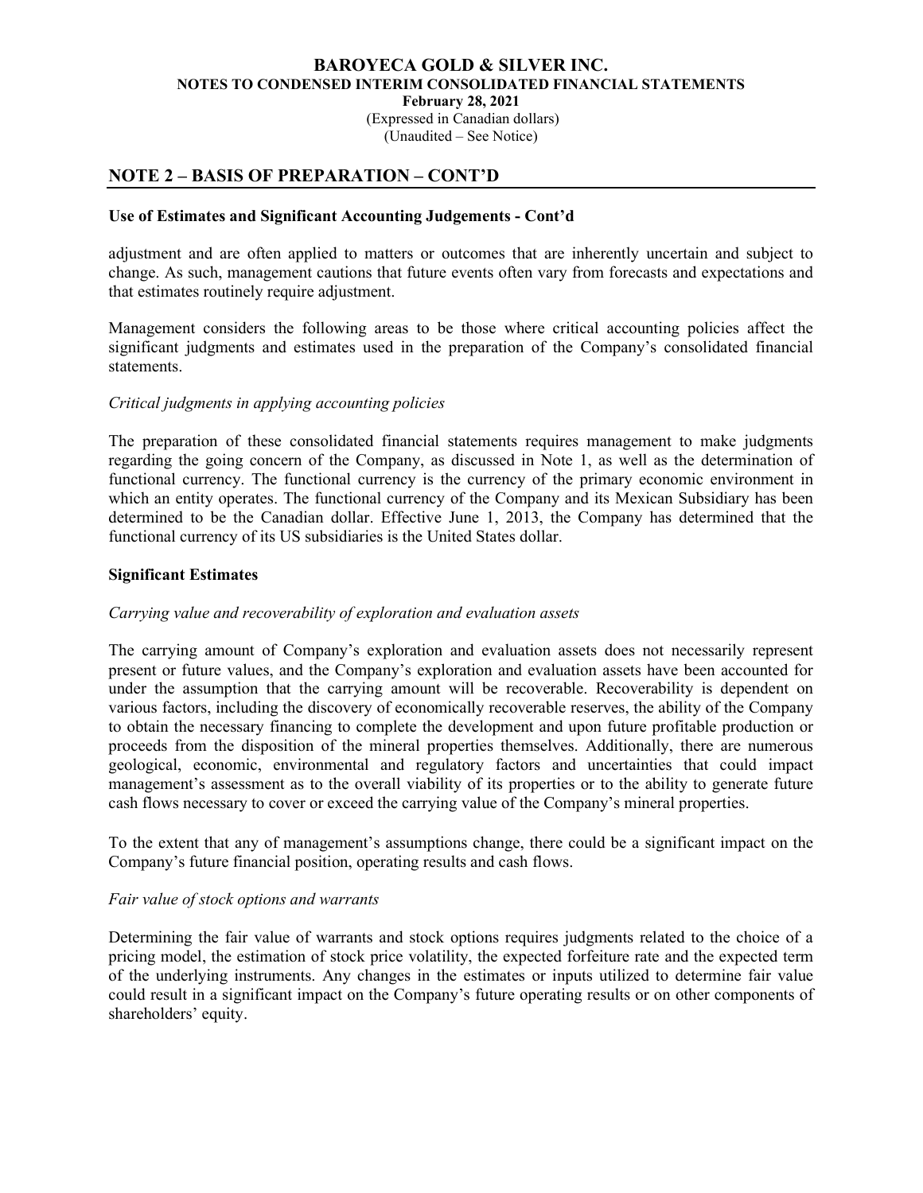(Expressed in Canadian dollars) (Unaudited – See Notice)

# NOTE 2 – BASIS OF PREPARATION – CONT'D

### Use of Estimates and Significant Accounting Judgements - Cont'd

adjustment and are often applied to matters or outcomes that are inherently uncertain and subject to change. As such, management cautions that future events often vary from forecasts and expectations and that estimates routinely require adjustment.

Management considers the following areas to be those where critical accounting policies affect the significant judgments and estimates used in the preparation of the Company's consolidated financial statements.

### Critical judgments in applying accounting policies

The preparation of these consolidated financial statements requires management to make judgments regarding the going concern of the Company, as discussed in Note 1, as well as the determination of functional currency. The functional currency is the currency of the primary economic environment in which an entity operates. The functional currency of the Company and its Mexican Subsidiary has been determined to be the Canadian dollar. Effective June 1, 2013, the Company has determined that the functional currency of its US subsidiaries is the United States dollar.

### Significant Estimates

### Carrying value and recoverability of exploration and evaluation assets

The carrying amount of Company's exploration and evaluation assets does not necessarily represent present or future values, and the Company's exploration and evaluation assets have been accounted for under the assumption that the carrying amount will be recoverable. Recoverability is dependent on various factors, including the discovery of economically recoverable reserves, the ability of the Company to obtain the necessary financing to complete the development and upon future profitable production or proceeds from the disposition of the mineral properties themselves. Additionally, there are numerous geological, economic, environmental and regulatory factors and uncertainties that could impact management's assessment as to the overall viability of its properties or to the ability to generate future cash flows necessary to cover or exceed the carrying value of the Company's mineral properties.

To the extent that any of management's assumptions change, there could be a significant impact on the Company's future financial position, operating results and cash flows.

#### Fair value of stock options and warrants

Determining the fair value of warrants and stock options requires judgments related to the choice of a pricing model, the estimation of stock price volatility, the expected forfeiture rate and the expected term of the underlying instruments. Any changes in the estimates or inputs utilized to determine fair value could result in a significant impact on the Company's future operating results or on other components of shareholders' equity.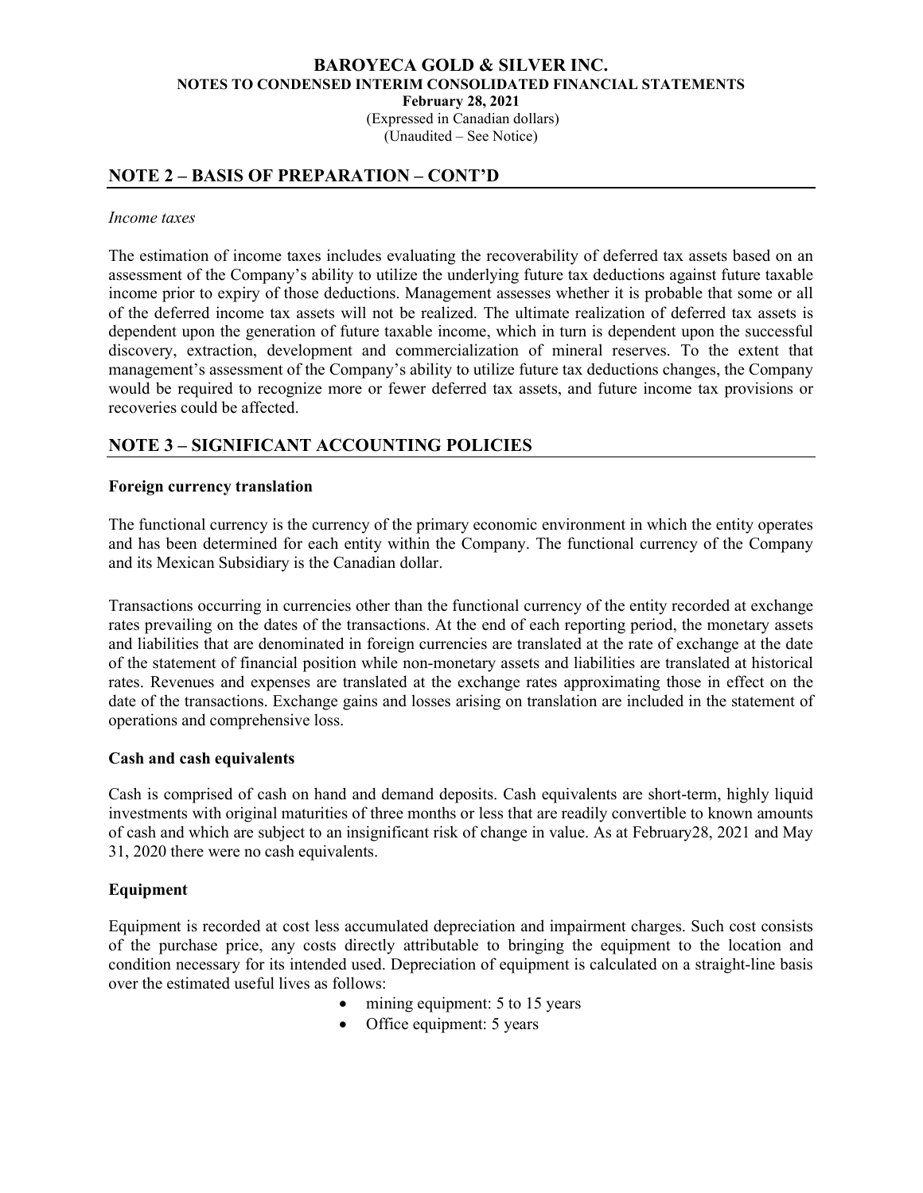(Expressed in Canadian dollars) (Unaudited – See Notice)

# NOTE 2 – BASIS OF PREPARATION – CONT'D

#### Income taxes

The estimation of income taxes includes evaluating the recoverability of deferred tax assets based on an assessment of the Company's ability to utilize the underlying future tax deductions against future taxable income prior to expiry of those deductions. Management assesses whether it is probable that some or all of the deferred income tax assets will not be realized. The ultimate realization of deferred tax assets is dependent upon the generation of future taxable income, which in turn is dependent upon the successful discovery, extraction, development and commercialization of mineral reserves. To the extent that management's assessment of the Company's ability to utilize future tax deductions changes, the Company would be required to recognize more or fewer deferred tax assets, and future income tax provisions or recoveries could be affected.

# NOTE 3 – SIGNIFICANT ACCOUNTING POLICIES

### Foreign currency translation

The functional currency is the currency of the primary economic environment in which the entity operates and has been determined for each entity within the Company. The functional currency of the Company and its Mexican Subsidiary is the Canadian dollar.

Transactions occurring in currencies other than the functional currency of the entity recorded at exchange rates prevailing on the dates of the transactions. At the end of each reporting period, the monetary assets and liabilities that are denominated in foreign currencies are translated at the rate of exchange at the date of the statement of financial position while non-monetary assets and liabilities are translated at historical rates. Revenues and expenses are translated at the exchange rates approximating those in effect on the date of the transactions. Exchange gains and losses arising on translation are included in the statement of operations and comprehensive loss.

#### Cash and cash equivalents

Cash is comprised of cash on hand and demand deposits. Cash equivalents are short-term, highly liquid investments with original maturities of three months or less that are readily convertible to known amounts of cash and which are subject to an insignificant risk of change in value. As at February28, 2021 and May 31, 2020 there were no cash equivalents.

### Equipment

Equipment is recorded at cost less accumulated depreciation and impairment charges. Such cost consists of the purchase price, any costs directly attributable to bringing the equipment to the location and condition necessary for its intended used. Depreciation of equipment is calculated on a straight-line basis over the estimated useful lives as follows:

- mining equipment: 5 to 15 years
- Office equipment: 5 years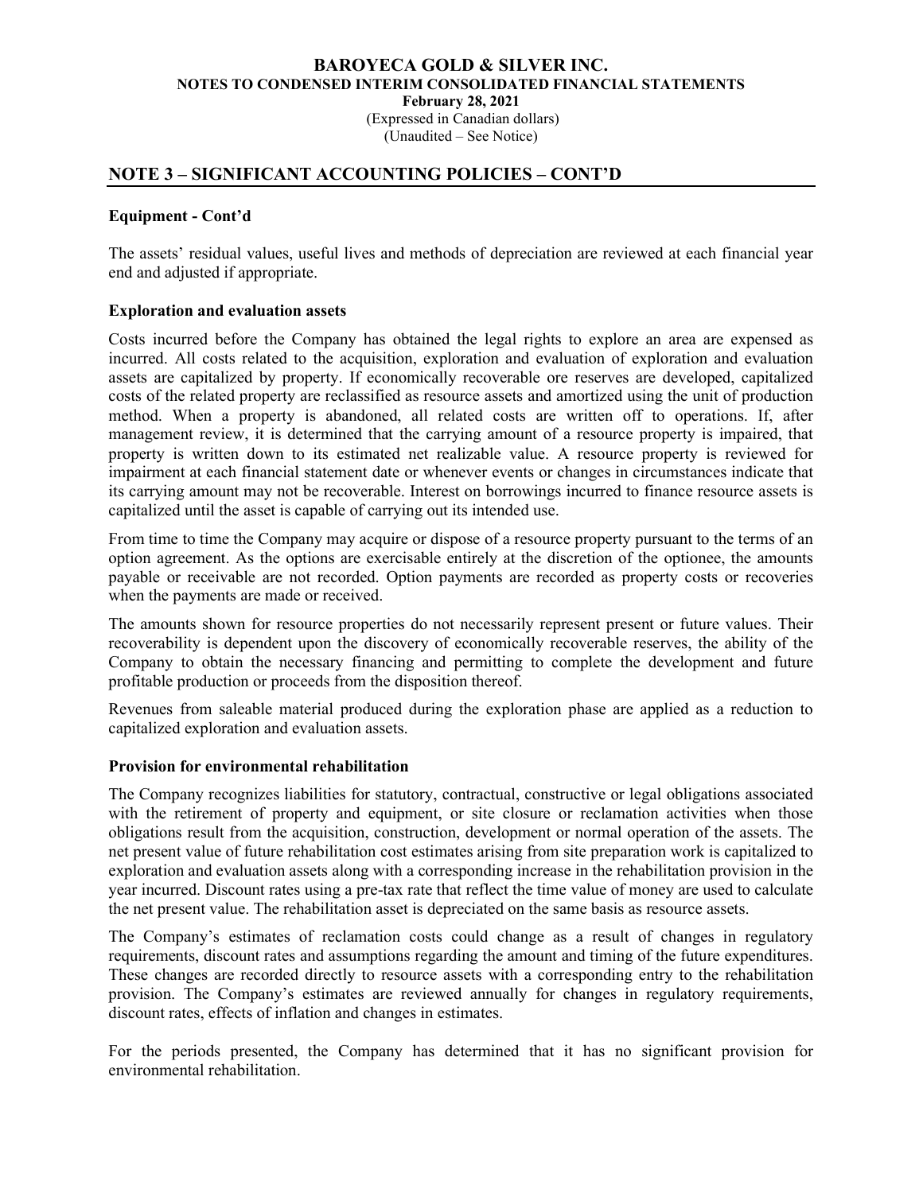#### BAROYECA GOLD & SILVER INC. NOTES TO CONDENSED INTERIM CONSOLIDATED FINANCIAL STATEMENTS February 28, 2021 (Expressed in Canadian dollars)

(Unaudited – See Notice)

# NOTE 3 – SIGNIFICANT ACCOUNTING POLICIES – CONT'D

### Equipment - Cont'd

The assets' residual values, useful lives and methods of depreciation are reviewed at each financial year end and adjusted if appropriate.

### Exploration and evaluation assets

Costs incurred before the Company has obtained the legal rights to explore an area are expensed as incurred. All costs related to the acquisition, exploration and evaluation of exploration and evaluation assets are capitalized by property. If economically recoverable ore reserves are developed, capitalized costs of the related property are reclassified as resource assets and amortized using the unit of production method. When a property is abandoned, all related costs are written off to operations. If, after management review, it is determined that the carrying amount of a resource property is impaired, that property is written down to its estimated net realizable value. A resource property is reviewed for impairment at each financial statement date or whenever events or changes in circumstances indicate that its carrying amount may not be recoverable. Interest on borrowings incurred to finance resource assets is capitalized until the asset is capable of carrying out its intended use.

From time to time the Company may acquire or dispose of a resource property pursuant to the terms of an option agreement. As the options are exercisable entirely at the discretion of the optionee, the amounts payable or receivable are not recorded. Option payments are recorded as property costs or recoveries when the payments are made or received.

The amounts shown for resource properties do not necessarily represent present or future values. Their recoverability is dependent upon the discovery of economically recoverable reserves, the ability of the Company to obtain the necessary financing and permitting to complete the development and future profitable production or proceeds from the disposition thereof.

Revenues from saleable material produced during the exploration phase are applied as a reduction to capitalized exploration and evaluation assets.

### Provision for environmental rehabilitation

The Company recognizes liabilities for statutory, contractual, constructive or legal obligations associated with the retirement of property and equipment, or site closure or reclamation activities when those obligations result from the acquisition, construction, development or normal operation of the assets. The net present value of future rehabilitation cost estimates arising from site preparation work is capitalized to exploration and evaluation assets along with a corresponding increase in the rehabilitation provision in the year incurred. Discount rates using a pre-tax rate that reflect the time value of money are used to calculate the net present value. The rehabilitation asset is depreciated on the same basis as resource assets.

The Company's estimates of reclamation costs could change as a result of changes in regulatory requirements, discount rates and assumptions regarding the amount and timing of the future expenditures. These changes are recorded directly to resource assets with a corresponding entry to the rehabilitation provision. The Company's estimates are reviewed annually for changes in regulatory requirements, discount rates, effects of inflation and changes in estimates.

For the periods presented, the Company has determined that it has no significant provision for environmental rehabilitation.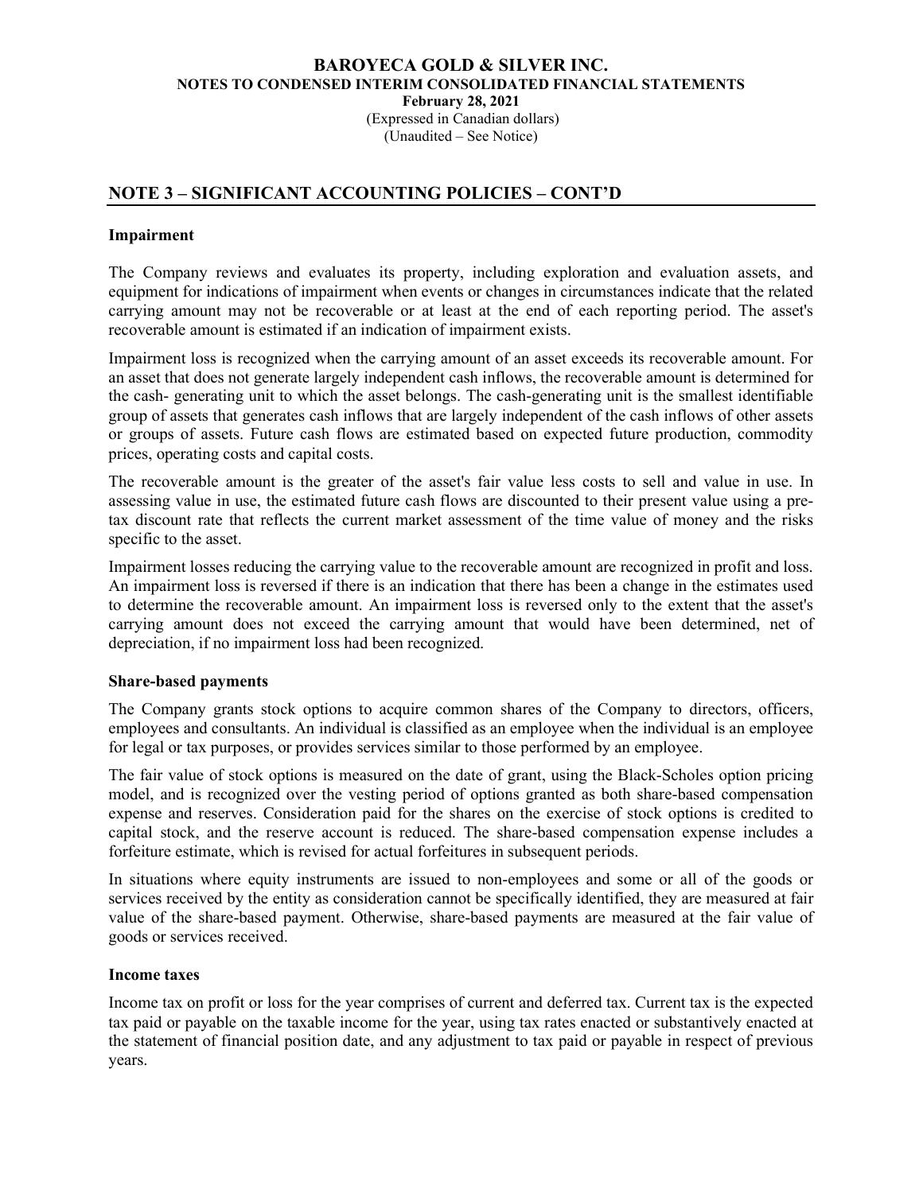#### BAROYECA GOLD & SILVER INC. NOTES TO CONDENSED INTERIM CONSOLIDATED FINANCIAL STATEMENTS February 28, 2021 (Expressed in Canadian dollars)

(Unaudited – See Notice)

# NOTE 3 – SIGNIFICANT ACCOUNTING POLICIES – CONT'D

### Impairment

The Company reviews and evaluates its property, including exploration and evaluation assets, and equipment for indications of impairment when events or changes in circumstances indicate that the related carrying amount may not be recoverable or at least at the end of each reporting period. The asset's recoverable amount is estimated if an indication of impairment exists.

Impairment loss is recognized when the carrying amount of an asset exceeds its recoverable amount. For an asset that does not generate largely independent cash inflows, the recoverable amount is determined for the cash- generating unit to which the asset belongs. The cash-generating unit is the smallest identifiable group of assets that generates cash inflows that are largely independent of the cash inflows of other assets or groups of assets. Future cash flows are estimated based on expected future production, commodity prices, operating costs and capital costs.

The recoverable amount is the greater of the asset's fair value less costs to sell and value in use. In assessing value in use, the estimated future cash flows are discounted to their present value using a pretax discount rate that reflects the current market assessment of the time value of money and the risks specific to the asset.

Impairment losses reducing the carrying value to the recoverable amount are recognized in profit and loss. An impairment loss is reversed if there is an indication that there has been a change in the estimates used to determine the recoverable amount. An impairment loss is reversed only to the extent that the asset's carrying amount does not exceed the carrying amount that would have been determined, net of depreciation, if no impairment loss had been recognized.

### Share-based payments

The Company grants stock options to acquire common shares of the Company to directors, officers, employees and consultants. An individual is classified as an employee when the individual is an employee for legal or tax purposes, or provides services similar to those performed by an employee.

The fair value of stock options is measured on the date of grant, using the Black-Scholes option pricing model, and is recognized over the vesting period of options granted as both share-based compensation expense and reserves. Consideration paid for the shares on the exercise of stock options is credited to capital stock, and the reserve account is reduced. The share-based compensation expense includes a forfeiture estimate, which is revised for actual forfeitures in subsequent periods.

In situations where equity instruments are issued to non-employees and some or all of the goods or services received by the entity as consideration cannot be specifically identified, they are measured at fair value of the share-based payment. Otherwise, share-based payments are measured at the fair value of goods or services received.

#### Income taxes

Income tax on profit or loss for the year comprises of current and deferred tax. Current tax is the expected tax paid or payable on the taxable income for the year, using tax rates enacted or substantively enacted at the statement of financial position date, and any adjustment to tax paid or payable in respect of previous years.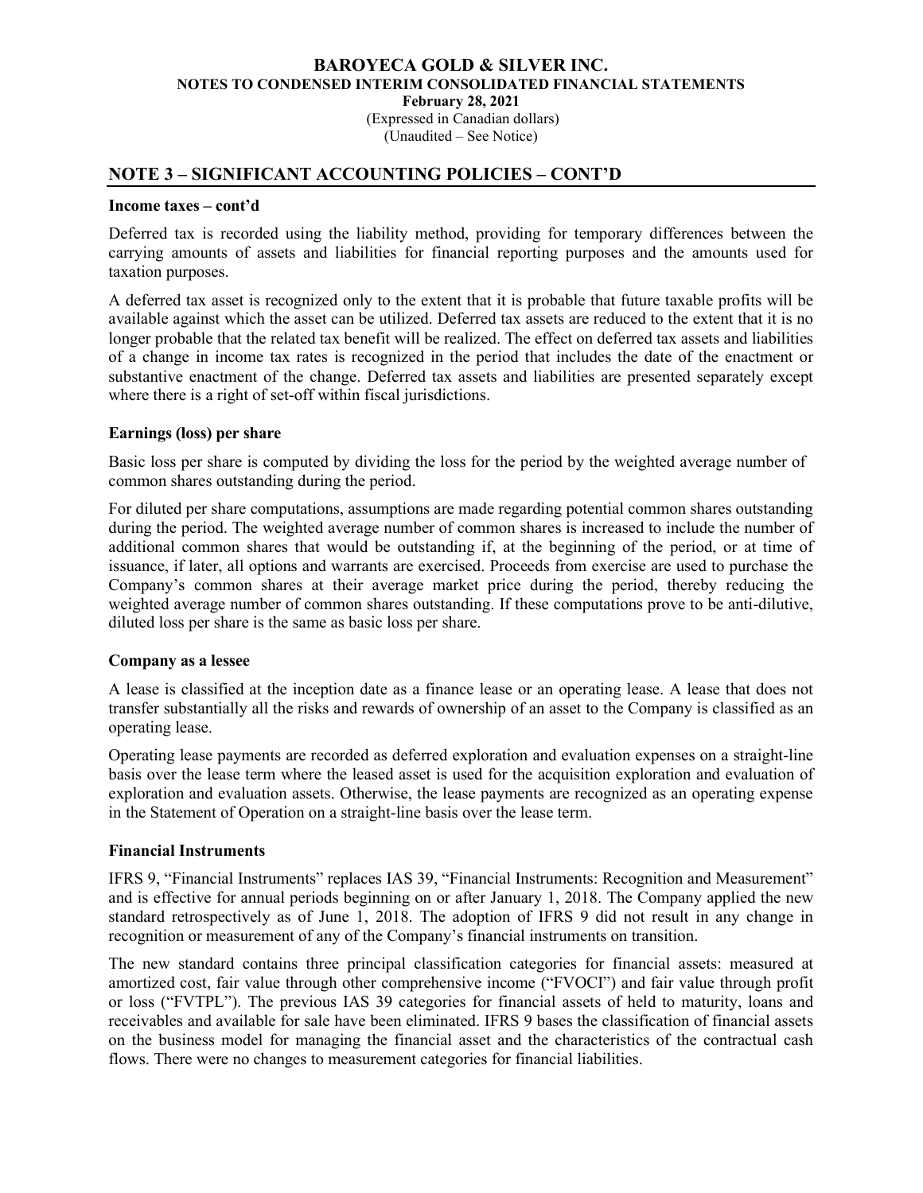(Expressed in Canadian dollars) (Unaudited – See Notice)

### NOTE 3 – SIGNIFICANT ACCOUNTING POLICIES – CONT'D

#### Income taxes – cont'd

Deferred tax is recorded using the liability method, providing for temporary differences between the carrying amounts of assets and liabilities for financial reporting purposes and the amounts used for taxation purposes.

A deferred tax asset is recognized only to the extent that it is probable that future taxable profits will be available against which the asset can be utilized. Deferred tax assets are reduced to the extent that it is no longer probable that the related tax benefit will be realized. The effect on deferred tax assets and liabilities of a change in income tax rates is recognized in the period that includes the date of the enactment or substantive enactment of the change. Deferred tax assets and liabilities are presented separately except where there is a right of set-off within fiscal jurisdictions.

#### Earnings (loss) per share

Basic loss per share is computed by dividing the loss for the period by the weighted average number of common shares outstanding during the period.

For diluted per share computations, assumptions are made regarding potential common shares outstanding during the period. The weighted average number of common shares is increased to include the number of additional common shares that would be outstanding if, at the beginning of the period, or at time of issuance, if later, all options and warrants are exercised. Proceeds from exercise are used to purchase the Company's common shares at their average market price during the period, thereby reducing the weighted average number of common shares outstanding. If these computations prove to be anti-dilutive, diluted loss per share is the same as basic loss per share.

#### Company as a lessee

A lease is classified at the inception date as a finance lease or an operating lease. A lease that does not transfer substantially all the risks and rewards of ownership of an asset to the Company is classified as an operating lease.

Operating lease payments are recorded as deferred exploration and evaluation expenses on a straight-line basis over the lease term where the leased asset is used for the acquisition exploration and evaluation of exploration and evaluation assets. Otherwise, the lease payments are recognized as an operating expense in the Statement of Operation on a straight-line basis over the lease term.

#### Financial Instruments

IFRS 9, "Financial Instruments" replaces IAS 39, "Financial Instruments: Recognition and Measurement" and is effective for annual periods beginning on or after January 1, 2018. The Company applied the new standard retrospectively as of June 1, 2018. The adoption of IFRS 9 did not result in any change in recognition or measurement of any of the Company's financial instruments on transition.

The new standard contains three principal classification categories for financial assets: measured at amortized cost, fair value through other comprehensive income ("FVOCI") and fair value through profit or loss ("FVTPL"). The previous IAS 39 categories for financial assets of held to maturity, loans and receivables and available for sale have been eliminated. IFRS 9 bases the classification of financial assets on the business model for managing the financial asset and the characteristics of the contractual cash flows. There were no changes to measurement categories for financial liabilities.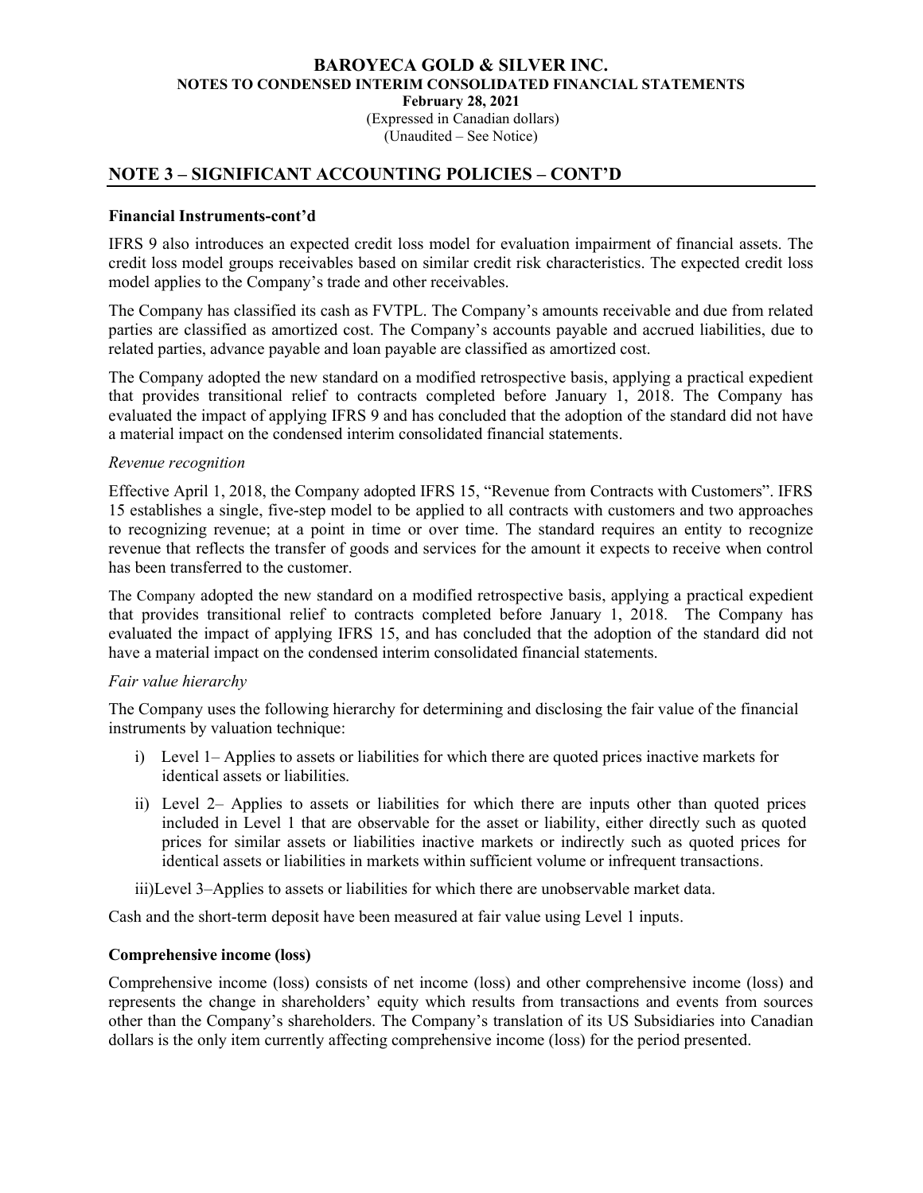(Expressed in Canadian dollars) (Unaudited – See Notice)

# NOTE 3 – SIGNIFICANT ACCOUNTING POLICIES – CONT'D

#### Financial Instruments-cont'd

IFRS 9 also introduces an expected credit loss model for evaluation impairment of financial assets. The credit loss model groups receivables based on similar credit risk characteristics. The expected credit loss model applies to the Company's trade and other receivables.

 The Company has classified its cash as FVTPL. The Company's amounts receivable and due from related parties are classified as amortized cost. The Company's accounts payable and accrued liabilities, due to related parties, advance payable and loan payable are classified as amortized cost.

The Company adopted the new standard on a modified retrospective basis, applying a practical expedient that provides transitional relief to contracts completed before January 1, 2018. The Company has evaluated the impact of applying IFRS 9 and has concluded that the adoption of the standard did not have a material impact on the condensed interim consolidated financial statements.

#### Revenue recognition

Effective April 1, 2018, the Company adopted IFRS 15, "Revenue from Contracts with Customers". IFRS 15 establishes a single, five-step model to be applied to all contracts with customers and two approaches to recognizing revenue; at a point in time or over time. The standard requires an entity to recognize revenue that reflects the transfer of goods and services for the amount it expects to receive when control has been transferred to the customer.

The Company adopted the new standard on a modified retrospective basis, applying a practical expedient that provides transitional relief to contracts completed before January 1, 2018. The Company has evaluated the impact of applying IFRS 15, and has concluded that the adoption of the standard did not have a material impact on the condensed interim consolidated financial statements.

#### Fair value hierarchy

The Company uses the following hierarchy for determining and disclosing the fair value of the financial instruments by valuation technique:

- i) Level 1– Applies to assets or liabilities for which there are quoted prices inactive markets for identical assets or liabilities.
- ii) Level 2– Applies to assets or liabilities for which there are inputs other than quoted prices included in Level 1 that are observable for the asset or liability, either directly such as quoted prices for similar assets or liabilities inactive markets or indirectly such as quoted prices for identical assets or liabilities in markets within sufficient volume or infrequent transactions.

iii)Level 3–Applies to assets or liabilities for which there are unobservable market data.

Cash and the short-term deposit have been measured at fair value using Level 1 inputs.

#### Comprehensive income (loss)

Comprehensive income (loss) consists of net income (loss) and other comprehensive income (loss) and represents the change in shareholders' equity which results from transactions and events from sources other than the Company's shareholders. The Company's translation of its US Subsidiaries into Canadian dollars is the only item currently affecting comprehensive income (loss) for the period presented.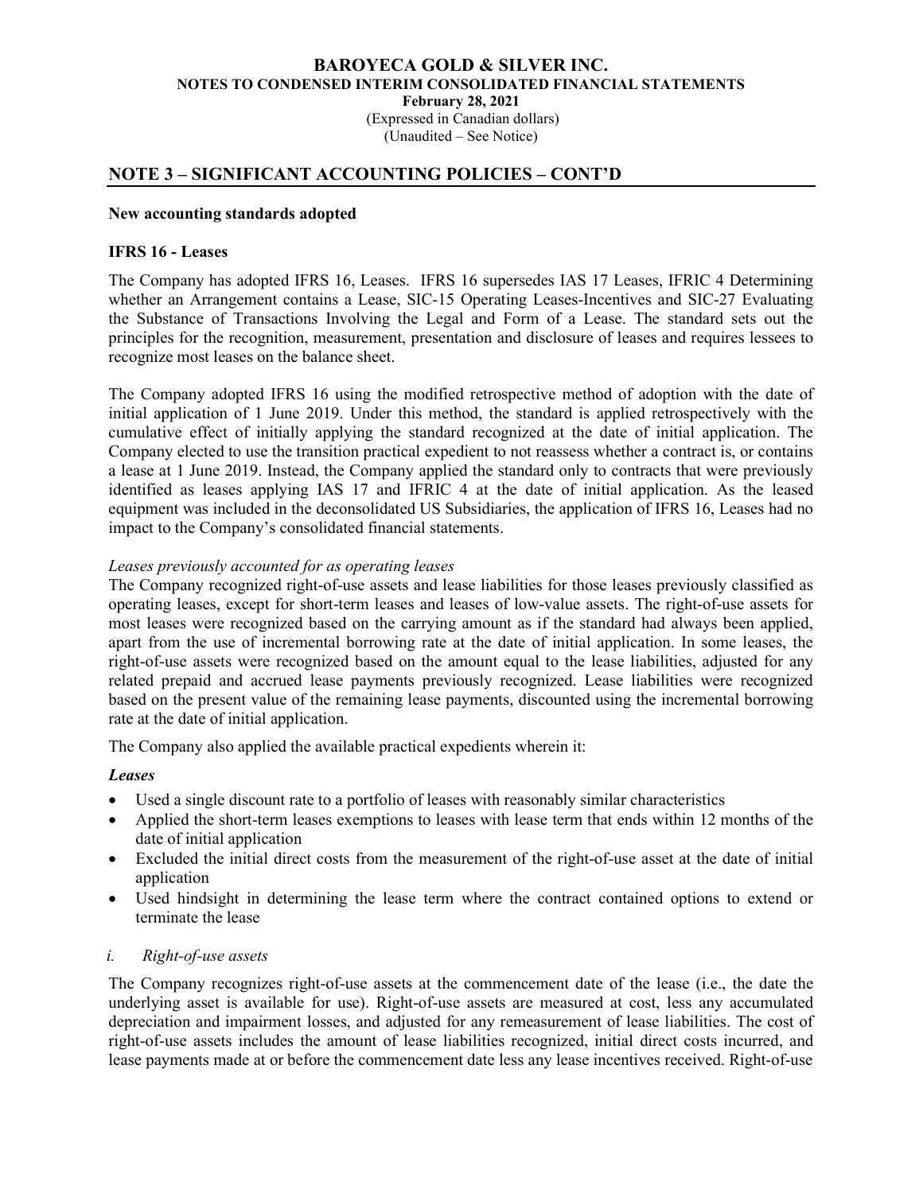(Expressed in Canadian dollars) (Unaudited – See Notice)

# NOTE 3 – SIGNIFICANT ACCOUNTING POLICIES – CONT'D

#### New accounting standards adopted

### IFRS 16 - Leases

The Company has adopted IFRS 16, Leases. IFRS 16 supersedes IAS 17 Leases, IFRIC 4 Determining whether an Arrangement contains a Lease, SIC-15 Operating Leases-Incentives and SIC-27 Evaluating the Substance of Transactions Involving the Legal and Form of a Lease. The standard sets out the principles for the recognition, measurement, presentation and disclosure of leases and requires lessees to recognize most leases on the balance sheet.

The Company adopted IFRS 16 using the modified retrospective method of adoption with the date of initial application of 1 June 2019. Under this method, the standard is applied retrospectively with the cumulative effect of initially applying the standard recognized at the date of initial application. The Company elected to use the transition practical expedient to not reassess whether a contract is, or contains a lease at 1 June 2019. Instead, the Company applied the standard only to contracts that were previously identified as leases applying IAS 17 and IFRIC 4 at the date of initial application. As the leased equipment was included in the deconsolidated US Subsidiaries, the application of IFRS 16, Leases had no impact to the Company's consolidated financial statements.

#### Leases previously accounted for as operating leases

The Company recognized right-of-use assets and lease liabilities for those leases previously classified as operating leases, except for short-term leases and leases of low-value assets. The right-of-use assets for most leases were recognized based on the carrying amount as if the standard had always been applied, apart from the use of incremental borrowing rate at the date of initial application. In some leases, the right-of-use assets were recognized based on the amount equal to the lease liabilities, adjusted for any related prepaid and accrued lease payments previously recognized. Lease liabilities were recognized based on the present value of the remaining lease payments, discounted using the incremental borrowing rate at the date of initial application.

The Company also applied the available practical expedients wherein it:

#### Leases

- Used a single discount rate to a portfolio of leases with reasonably similar characteristics
- Applied the short-term leases exemptions to leases with lease term that ends within 12 months of the date of initial application
- Excluded the initial direct costs from the measurement of the right-of-use asset at the date of initial application
- Used hindsight in determining the lease term where the contract contained options to extend or terminate the lease

#### i. Right-of-use assets

The Company recognizes right-of-use assets at the commencement date of the lease (i.e., the date the underlying asset is available for use). Right-of-use assets are measured at cost, less any accumulated depreciation and impairment losses, and adjusted for any remeasurement of lease liabilities. The cost of right-of-use assets includes the amount of lease liabilities recognized, initial direct costs incurred, and lease payments made at or before the commencement date less any lease incentives received. Right-of-use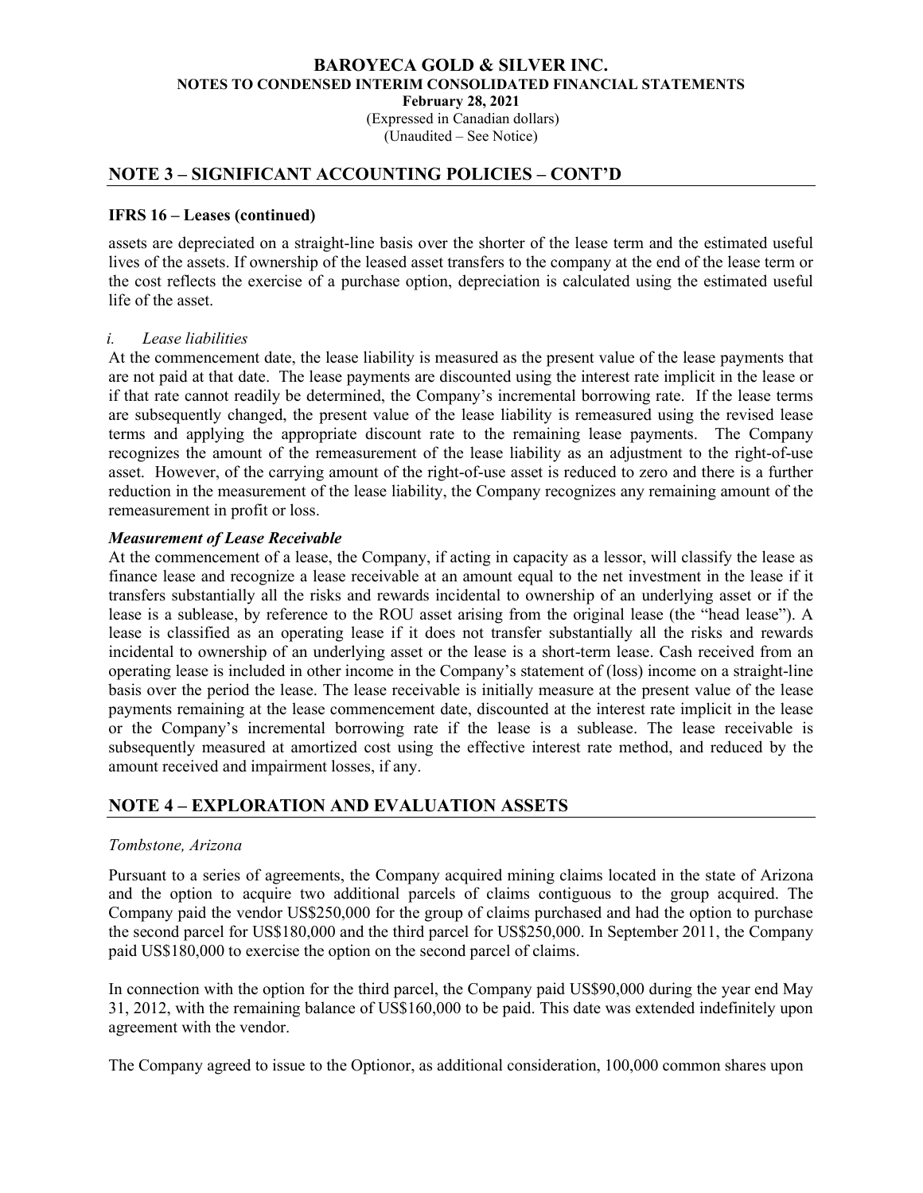(Expressed in Canadian dollars) (Unaudited – See Notice)

# NOTE 3 – SIGNIFICANT ACCOUNTING POLICIES – CONT'D

### IFRS 16 – Leases (continued)

assets are depreciated on a straight-line basis over the shorter of the lease term and the estimated useful lives of the assets. If ownership of the leased asset transfers to the company at the end of the lease term or the cost reflects the exercise of a purchase option, depreciation is calculated using the estimated useful life of the asset.

#### i. Lease liabilities

At the commencement date, the lease liability is measured as the present value of the lease payments that are not paid at that date. The lease payments are discounted using the interest rate implicit in the lease or if that rate cannot readily be determined, the Company's incremental borrowing rate. If the lease terms are subsequently changed, the present value of the lease liability is remeasured using the revised lease terms and applying the appropriate discount rate to the remaining lease payments. The Company recognizes the amount of the remeasurement of the lease liability as an adjustment to the right-of-use asset. However, of the carrying amount of the right-of-use asset is reduced to zero and there is a further reduction in the measurement of the lease liability, the Company recognizes any remaining amount of the remeasurement in profit or loss.

#### Measurement of Lease Receivable

At the commencement of a lease, the Company, if acting in capacity as a lessor, will classify the lease as finance lease and recognize a lease receivable at an amount equal to the net investment in the lease if it transfers substantially all the risks and rewards incidental to ownership of an underlying asset or if the lease is a sublease, by reference to the ROU asset arising from the original lease (the "head lease"). A lease is classified as an operating lease if it does not transfer substantially all the risks and rewards incidental to ownership of an underlying asset or the lease is a short-term lease. Cash received from an operating lease is included in other income in the Company's statement of (loss) income on a straight-line basis over the period the lease. The lease receivable is initially measure at the present value of the lease payments remaining at the lease commencement date, discounted at the interest rate implicit in the lease or the Company's incremental borrowing rate if the lease is a sublease. The lease receivable is subsequently measured at amortized cost using the effective interest rate method, and reduced by the amount received and impairment losses, if any.

# NOTE 4 – EXPLORATION AND EVALUATION ASSETS

#### Tombstone, Arizona

Pursuant to a series of agreements, the Company acquired mining claims located in the state of Arizona and the option to acquire two additional parcels of claims contiguous to the group acquired. The Company paid the vendor US\$250,000 for the group of claims purchased and had the option to purchase the second parcel for US\$180,000 and the third parcel for US\$250,000. In September 2011, the Company paid US\$180,000 to exercise the option on the second parcel of claims.

In connection with the option for the third parcel, the Company paid US\$90,000 during the year end May 31, 2012, with the remaining balance of US\$160,000 to be paid. This date was extended indefinitely upon agreement with the vendor.

The Company agreed to issue to the Optionor, as additional consideration, 100,000 common shares upon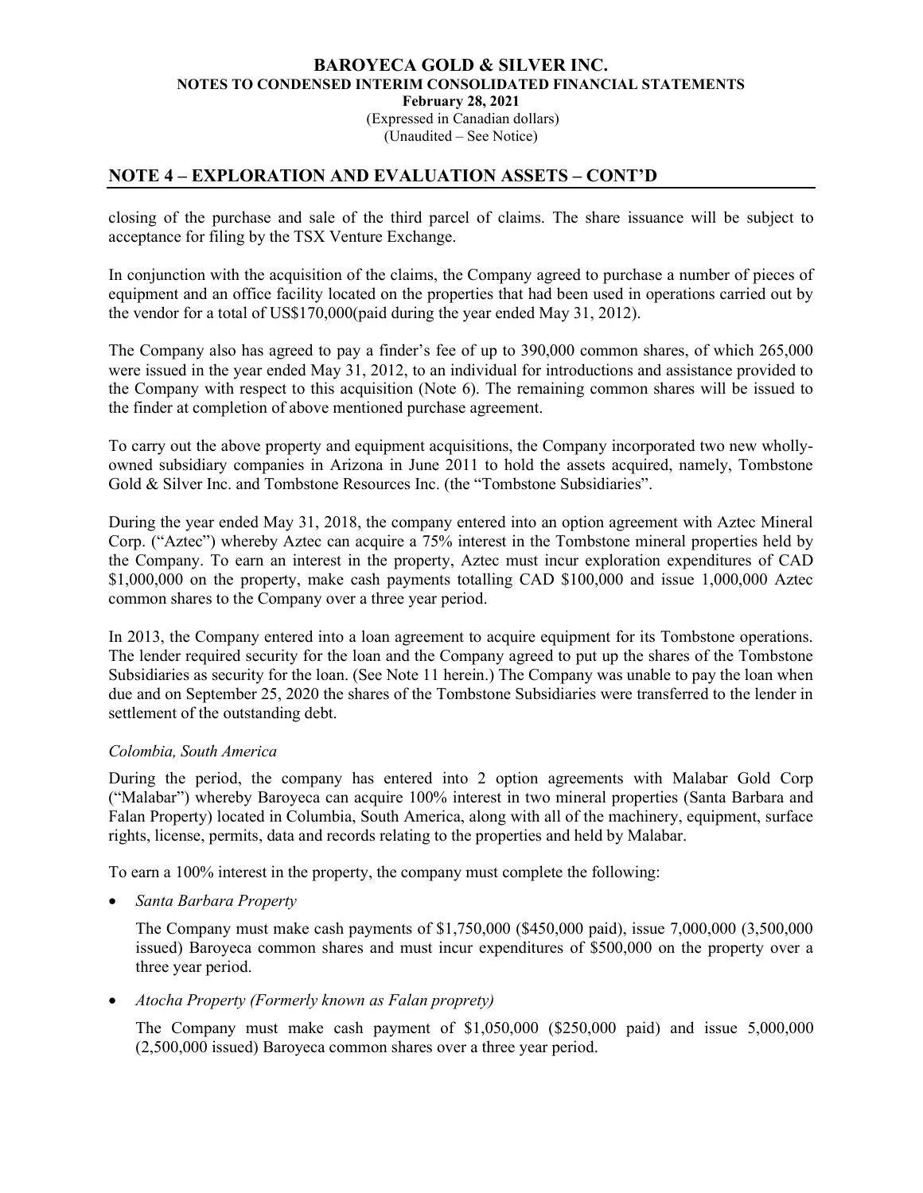### BAROYECA GOLD & SILVER INC. NOTES TO CONDENSED INTERIM CONSOLIDATED FINANCIAL STATEMENTS February 28, 2021 (Expressed in Canadian dollars)

(Unaudited – See Notice)

# NOTE 4 – EXPLORATION AND EVALUATION ASSETS – CONT'D

closing of the purchase and sale of the third parcel of claims. The share issuance will be subject to acceptance for filing by the TSX Venture Exchange.

In conjunction with the acquisition of the claims, the Company agreed to purchase a number of pieces of equipment and an office facility located on the properties that had been used in operations carried out by the vendor for a total of US\$170,000(paid during the year ended May 31, 2012).

The Company also has agreed to pay a finder's fee of up to 390,000 common shares, of which 265,000 were issued in the year ended May 31, 2012, to an individual for introductions and assistance provided to the Company with respect to this acquisition (Note 6). The remaining common shares will be issued to the finder at completion of above mentioned purchase agreement.

To carry out the above property and equipment acquisitions, the Company incorporated two new whollyowned subsidiary companies in Arizona in June 2011 to hold the assets acquired, namely, Tombstone Gold & Silver Inc. and Tombstone Resources Inc. (the "Tombstone Subsidiaries".

During the year ended May 31, 2018, the company entered into an option agreement with Aztec Mineral Corp. ("Aztec") whereby Aztec can acquire a 75% interest in the Tombstone mineral properties held by the Company. To earn an interest in the property, Aztec must incur exploration expenditures of CAD \$1,000,000 on the property, make cash payments totalling CAD \$100,000 and issue 1,000,000 Aztec common shares to the Company over a three year period.

In 2013, the Company entered into a loan agreement to acquire equipment for its Tombstone operations. The lender required security for the loan and the Company agreed to put up the shares of the Tombstone Subsidiaries as security for the loan. (See Note 11 herein.) The Company was unable to pay the loan when due and on September 25, 2020 the shares of the Tombstone Subsidiaries were transferred to the lender in settlement of the outstanding debt.

### Colombia, South America

During the period, the company has entered into 2 option agreements with Malabar Gold Corp ("Malabar") whereby Baroyeca can acquire 100% interest in two mineral properties (Santa Barbara and Falan Property) located in Columbia, South America, along with all of the machinery, equipment, surface rights, license, permits, data and records relating to the properties and held by Malabar.

To earn a 100% interest in the property, the company must complete the following:

Santa Barbara Property

The Company must make cash payments of \$1,750,000 (\$450,000 paid), issue 7,000,000 (3,500,000 issued) Baroyeca common shares and must incur expenditures of \$500,000 on the property over a three year period.

Atocha Property (Formerly known as Falan proprety)

The Company must make cash payment of \$1,050,000 (\$250,000 paid) and issue 5,000,000 (2,500,000 issued) Baroyeca common shares over a three year period.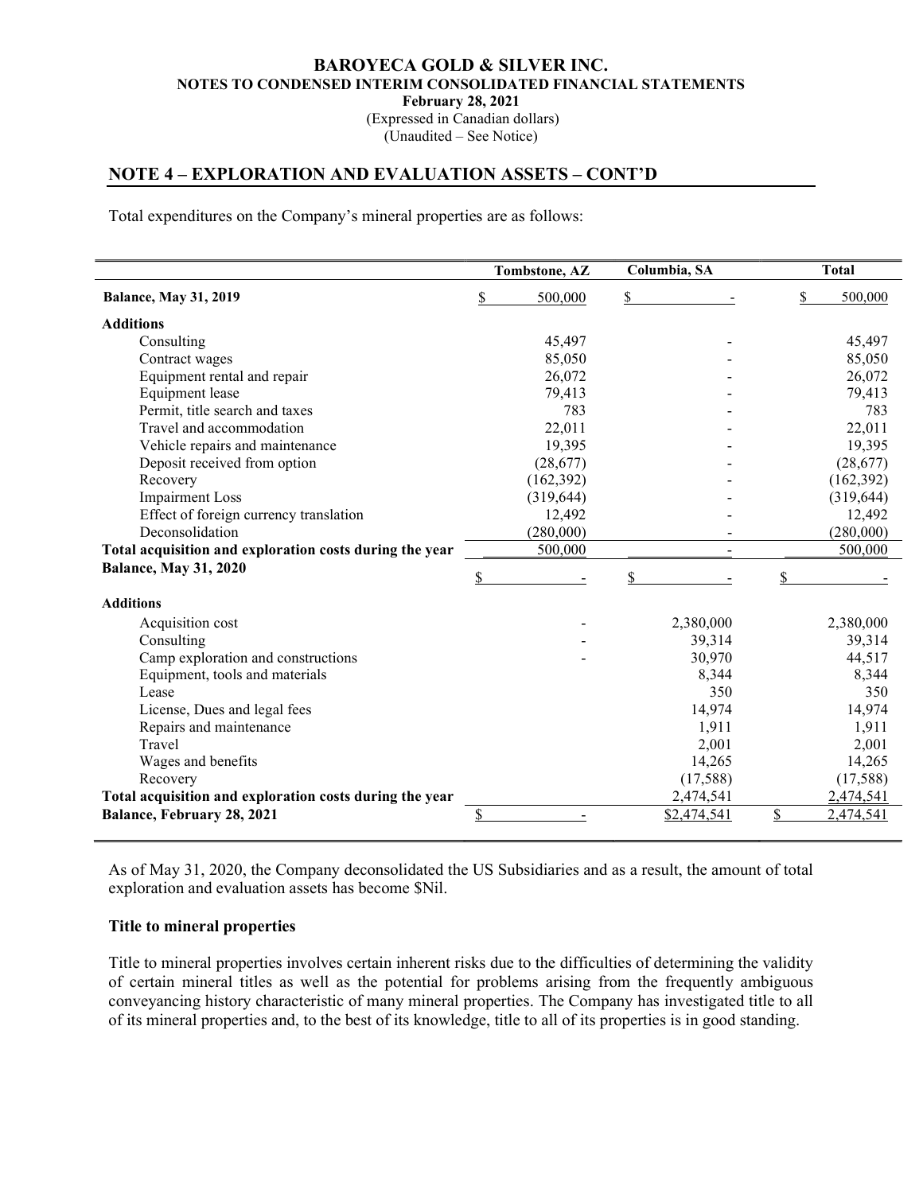(Expressed in Canadian dollars) (Unaudited – See Notice)

# NOTE 4 – EXPLORATION AND EVALUATION ASSETS – CONT'D

Total expenditures on the Company's mineral properties are as follows:

|                                                         | Tombstone, AZ | Columbia, SA | <b>Total</b>               |
|---------------------------------------------------------|---------------|--------------|----------------------------|
| <b>Balance, May 31, 2019</b>                            | \$<br>500,000 | \$           | \$<br>500,000              |
| <b>Additions</b>                                        |               |              |                            |
| Consulting                                              | 45,497        |              | 45,497                     |
| Contract wages                                          | 85,050        |              | 85,050                     |
| Equipment rental and repair                             | 26,072        |              | 26,072                     |
| <b>Equipment</b> lease                                  | 79,413        |              | 79,413                     |
| Permit, title search and taxes                          | 783           |              | 783                        |
| Travel and accommodation                                | 22,011        |              | 22,011                     |
| Vehicle repairs and maintenance                         | 19,395        |              | 19,395                     |
| Deposit received from option                            | (28,677)      |              | (28, 677)                  |
| Recovery                                                | (162, 392)    |              | (162,392)                  |
| <b>Impairment Loss</b>                                  | (319, 644)    |              | (319, 644)                 |
| Effect of foreign currency translation                  | 12,492        |              | 12,492                     |
| Deconsolidation                                         | (280,000)     |              | (280,000)                  |
| Total acquisition and exploration costs during the year | 500,000       |              | 500,000                    |
| <b>Balance, May 31, 2020</b>                            | \$            | \$           | \$                         |
| <b>Additions</b>                                        |               |              |                            |
|                                                         |               |              |                            |
| Acquisition cost                                        |               | 2,380,000    | 2,380,000                  |
| Consulting                                              |               | 39,314       | 39,314                     |
| Camp exploration and constructions                      |               | 30,970       | 44,517                     |
| Equipment, tools and materials                          |               | 8,344        | 8,344                      |
| Lease                                                   |               | 350          | 350                        |
| License, Dues and legal fees                            |               | 14,974       | 14,974                     |
| Repairs and maintenance                                 |               | 1,911        | 1,911                      |
| Travel                                                  |               | 2,001        | 2,001                      |
| Wages and benefits                                      |               | 14,265       | 14,265                     |
| Recovery                                                |               | (17,588)     | (17,588)                   |
| Total acquisition and exploration costs during the year |               | 2,474,541    | 2,474,541                  |
| Balance, February 28, 2021                              | \$            | \$2,474,541  | $\frac{1}{2}$<br>2,474,541 |

As of May 31, 2020, the Company deconsolidated the US Subsidiaries and as a result, the amount of total exploration and evaluation assets has become \$Nil.

#### Title to mineral properties

Title to mineral properties involves certain inherent risks due to the difficulties of determining the validity of certain mineral titles as well as the potential for problems arising from the frequently ambiguous conveyancing history characteristic of many mineral properties. The Company has investigated title to all of its mineral properties and, to the best of its knowledge, title to all of its properties is in good standing.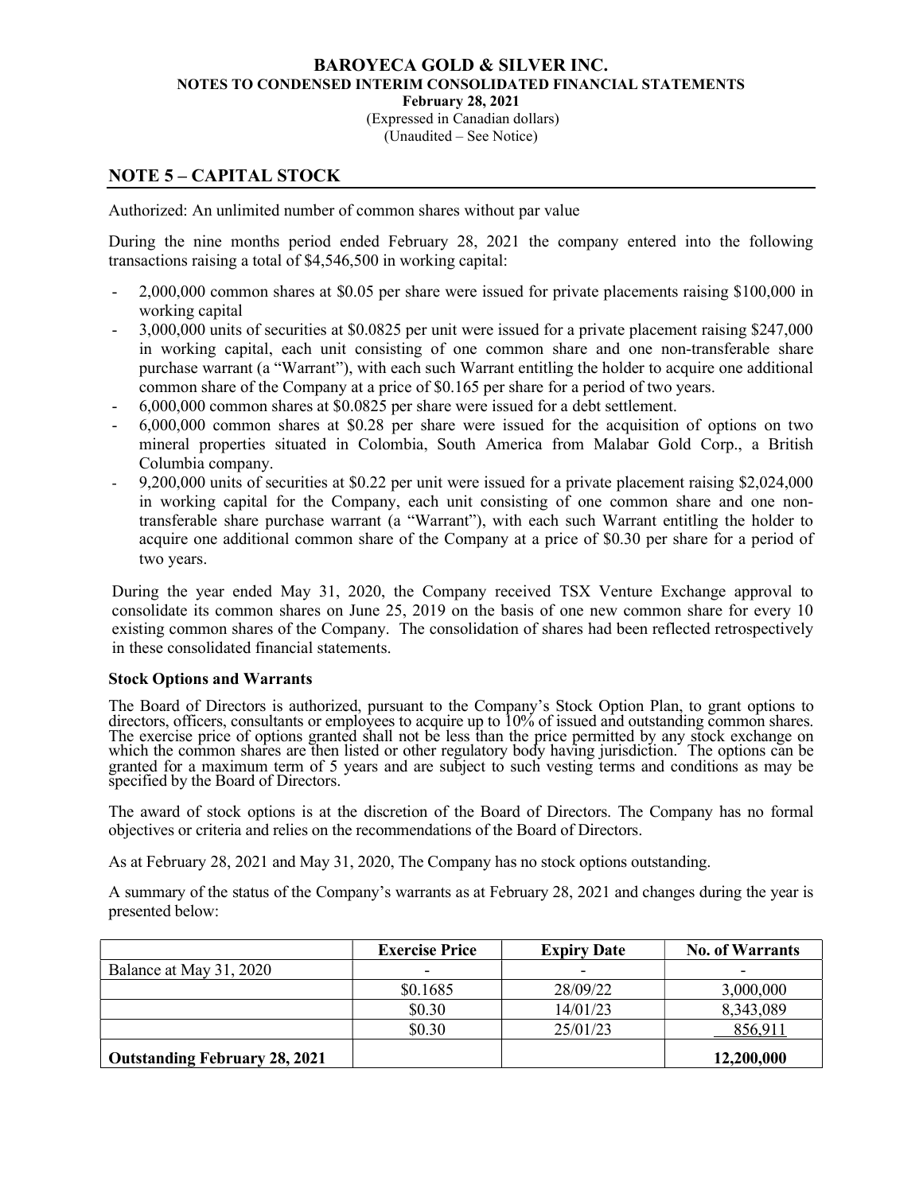(Expressed in Canadian dollars) (Unaudited – See Notice)

# NOTE 5 – CAPITAL STOCK

Authorized: An unlimited number of common shares without par value

During the nine months period ended February 28, 2021 the company entered into the following transactions raising a total of \$4,546,500 in working capital:

- 2,000,000 common shares at \$0.05 per share were issued for private placements raising \$100,000 in working capital
- 3,000,000 units of securities at \$0.0825 per unit were issued for a private placement raising \$247,000 in working capital, each unit consisting of one common share and one non-transferable share purchase warrant (a "Warrant"), with each such Warrant entitling the holder to acquire one additional common share of the Company at a price of \$0.165 per share for a period of two years.
- 6,000,000 common shares at \$0.0825 per share were issued for a debt settlement.
- 6,000,000 common shares at \$0.28 per share were issued for the acquisition of options on two mineral properties situated in Colombia, South America from Malabar Gold Corp., a British Columbia company.
- 9,200,000 units of securities at \$0.22 per unit were issued for a private placement raising \$2,024,000 in working capital for the Company, each unit consisting of one common share and one nontransferable share purchase warrant (a "Warrant"), with each such Warrant entitling the holder to acquire one additional common share of the Company at a price of \$0.30 per share for a period of two years.

During the year ended May 31, 2020, the Company received TSX Venture Exchange approval to consolidate its common shares on June 25, 2019 on the basis of one new common share for every 10 existing common shares of the Company. The consolidation of shares had been reflected retrospectively in these consolidated financial statements.

### Stock Options and Warrants

The Board of Directors is authorized, pursuant to the Company's Stock Option Plan, to grant options to directors, officers, consultants or employees to acquire up to 10% of issued and outstanding common shares. The exercise price of options granted shall not be less than the price permitted by any stock exchange on which the common shares are then listed or other regulatory body having jurisdiction. The options can be granted for a maximum term of 5 years and are subject to such vesting terms and conditions as may be specified by the Board of Directors.

The award of stock options is at the discretion of the Board of Directors. The Company has no formal objectives or criteria and relies on the recommendations of the Board of Directors.

As at February 28, 2021 and May 31, 2020, The Company has no stock options outstanding.

A summary of the status of the Company's warrants as at February 28, 2021 and changes during the year is presented below:

|                                      | <b>Exercise Price</b> | <b>Expiry Date</b> | <b>No. of Warrants</b> |
|--------------------------------------|-----------------------|--------------------|------------------------|
| Balance at May 31, 2020              |                       |                    | -                      |
|                                      | \$0.1685              | 28/09/22           | 3,000,000              |
|                                      | \$0.30                | 14/01/23           | 8,343,089              |
|                                      | \$0.30                | 25/01/23           | 856,911                |
| <b>Outstanding February 28, 2021</b> |                       |                    | 12,200,000             |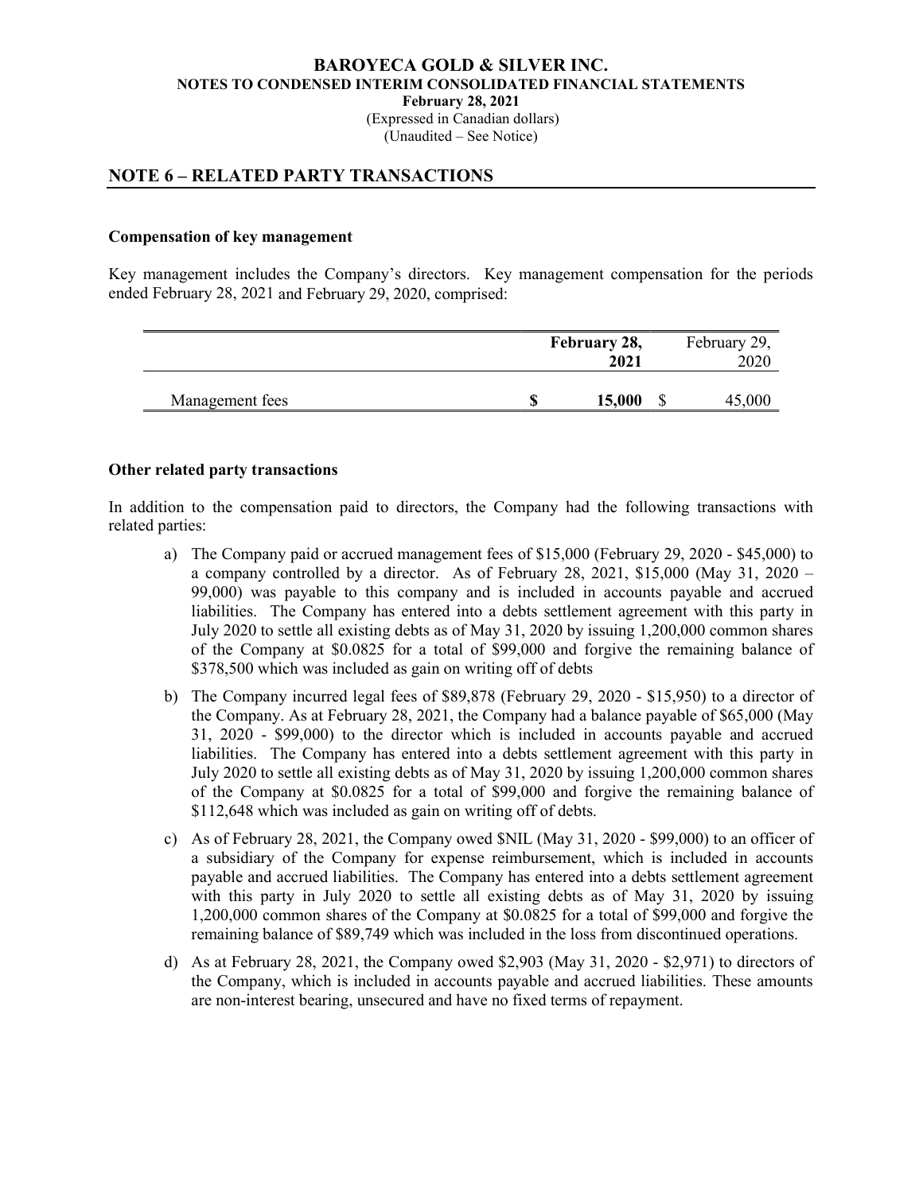#### BAROYECA GOLD & SILVER INC. NOTES TO CONDENSED INTERIM CONSOLIDATED FINANCIAL STATEMENTS February 28, 2021 (Expressed in Canadian dollars) (Unaudited – See Notice)

# NOTE 6 – RELATED PARTY TRANSACTIONS

#### Compensation of key management

Key management includes the Company's directors. Key management compensation for the periods ended February 28, 2021 and February 29, 2020, comprised:

|                 | February 28, | February 29,<br>2020 |  |        |
|-----------------|--------------|----------------------|--|--------|
| Management fees |              | 15,000               |  | 45,000 |

#### Other related party transactions

In addition to the compensation paid to directors, the Company had the following transactions with related parties:

- a) The Company paid or accrued management fees of \$15,000 (February 29, 2020 \$45,000) to a company controlled by a director. As of February 28, 2021, \$15,000 (May 31, 2020 – 99,000) was payable to this company and is included in accounts payable and accrued liabilities. The Company has entered into a debts settlement agreement with this party in July 2020 to settle all existing debts as of May 31, 2020 by issuing 1,200,000 common shares of the Company at \$0.0825 for a total of \$99,000 and forgive the remaining balance of \$378,500 which was included as gain on writing off of debts
- b) The Company incurred legal fees of \$89,878 (February 29, 2020 \$15,950) to a director of the Company. As at February 28, 2021, the Company had a balance payable of \$65,000 (May 31, 2020 - \$99,000) to the director which is included in accounts payable and accrued liabilities. The Company has entered into a debts settlement agreement with this party in July 2020 to settle all existing debts as of May 31, 2020 by issuing 1,200,000 common shares of the Company at \$0.0825 for a total of \$99,000 and forgive the remaining balance of \$112,648 which was included as gain on writing off of debts.
- c) As of February 28, 2021, the Company owed \$NIL (May 31, 2020 \$99,000) to an officer of a subsidiary of the Company for expense reimbursement, which is included in accounts payable and accrued liabilities. The Company has entered into a debts settlement agreement with this party in July 2020 to settle all existing debts as of May 31, 2020 by issuing 1,200,000 common shares of the Company at \$0.0825 for a total of \$99,000 and forgive the remaining balance of \$89,749 which was included in the loss from discontinued operations.
- d) As at February 28, 2021, the Company owed \$2,903 (May 31, 2020 \$2,971) to directors of the Company, which is included in accounts payable and accrued liabilities. These amounts are non-interest bearing, unsecured and have no fixed terms of repayment.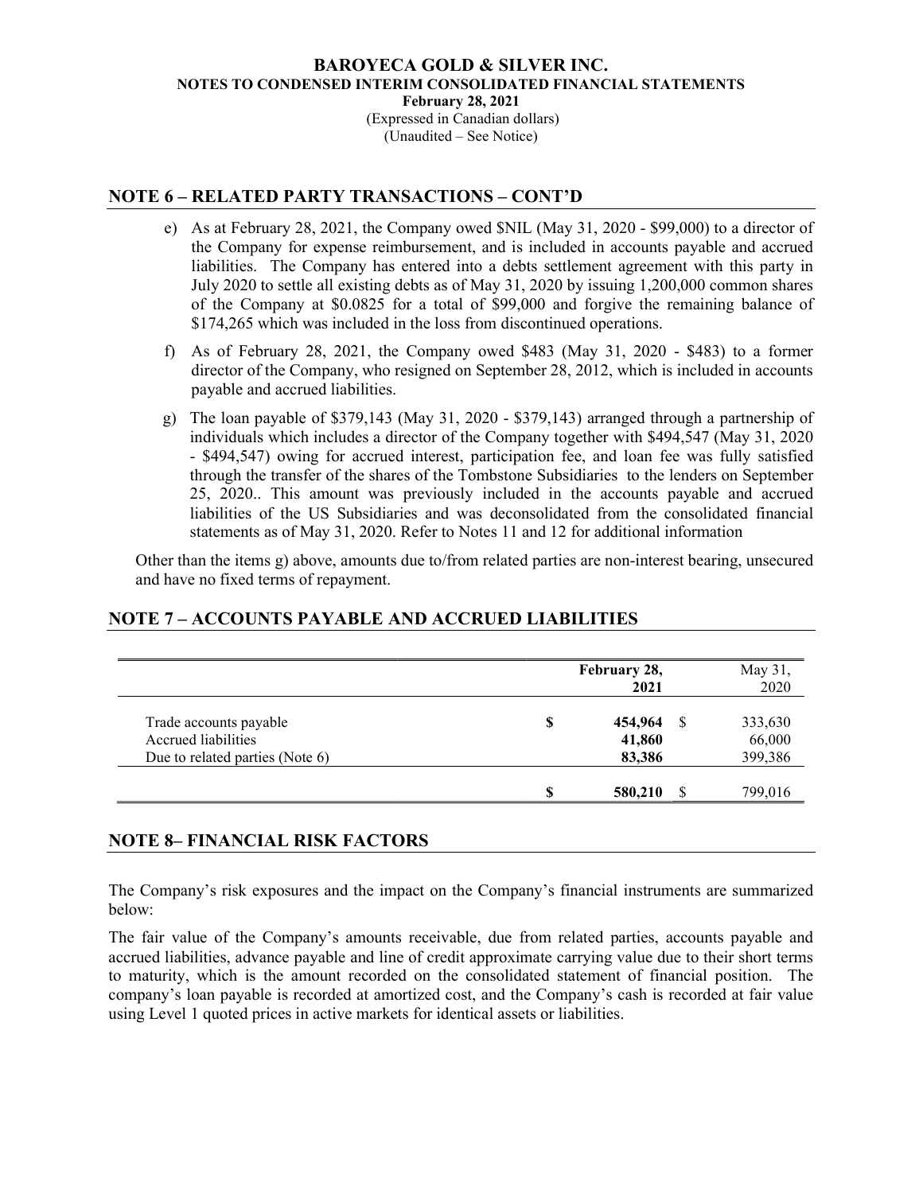(Expressed in Canadian dollars) (Unaudited – See Notice)

# NOTE 6 – RELATED PARTY TRANSACTIONS – CONT'D

- e) As at February 28, 2021, the Company owed \$NIL (May 31, 2020 \$99,000) to a director of the Company for expense reimbursement, and is included in accounts payable and accrued liabilities. The Company has entered into a debts settlement agreement with this party in July 2020 to settle all existing debts as of May 31, 2020 by issuing 1,200,000 common shares of the Company at \$0.0825 for a total of \$99,000 and forgive the remaining balance of \$174,265 which was included in the loss from discontinued operations.
- f) As of February 28, 2021, the Company owed \$483 (May 31, 2020 \$483) to a former director of the Company, who resigned on September 28, 2012, which is included in accounts payable and accrued liabilities.
- g) The loan payable of \$379,143 (May 31, 2020 \$379,143) arranged through a partnership of individuals which includes a director of the Company together with \$494,547 (May 31, 2020 - \$494,547) owing for accrued interest, participation fee, and loan fee was fully satisfied through the transfer of the shares of the Tombstone Subsidiaries to the lenders on September 25, 2020.. This amount was previously included in the accounts payable and accrued liabilities of the US Subsidiaries and was deconsolidated from the consolidated financial statements as of May 31, 2020. Refer to Notes 11 and 12 for additional information

Other than the items g) above, amounts due to/from related parties are non-interest bearing, unsecured and have no fixed terms of repayment.

# NOTE 7 – ACCOUNTS PAYABLE AND ACCRUED LIABILITIES

|                                 |   | February 28,<br>2021 | May 31,<br>2020 |
|---------------------------------|---|----------------------|-----------------|
| Trade accounts payable          |   | 454,964              | 333,630         |
| Accrued liabilities             |   | 41,860               | 66,000          |
| Due to related parties (Note 6) |   | 83,386               | 399,386         |
|                                 | € | 580,210<br>Я         | 799,016         |

# NOTE 8– FINANCIAL RISK FACTORS

The Company's risk exposures and the impact on the Company's financial instruments are summarized below:

The fair value of the Company's amounts receivable, due from related parties, accounts payable and accrued liabilities, advance payable and line of credit approximate carrying value due to their short terms to maturity, which is the amount recorded on the consolidated statement of financial position. The company's loan payable is recorded at amortized cost, and the Company's cash is recorded at fair value using Level 1 quoted prices in active markets for identical assets or liabilities.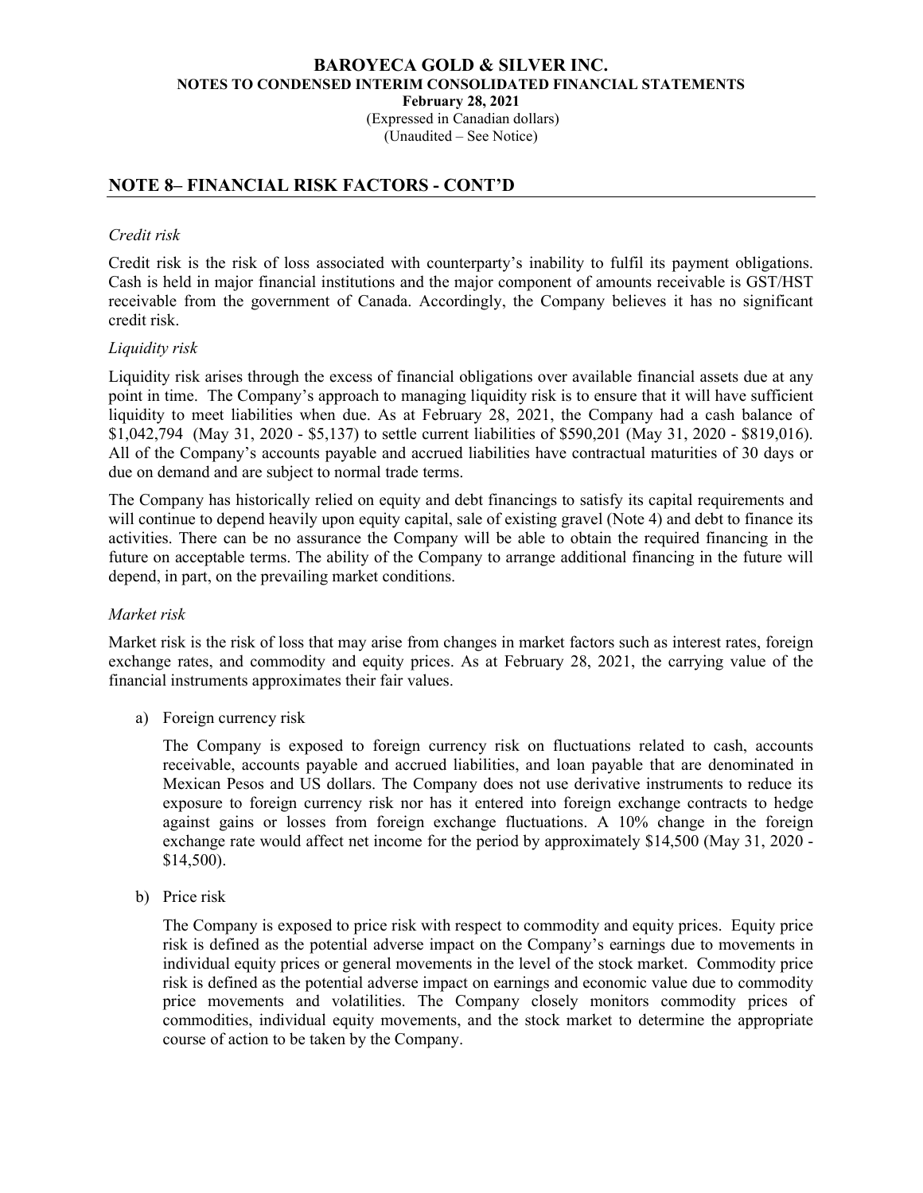(Expressed in Canadian dollars) (Unaudited – See Notice)

# NOTE 8– FINANCIAL RISK FACTORS - CONT'D

### Credit risk

Credit risk is the risk of loss associated with counterparty's inability to fulfil its payment obligations. Cash is held in major financial institutions and the major component of amounts receivable is GST/HST receivable from the government of Canada. Accordingly, the Company believes it has no significant credit risk.

### Liquidity risk

Liquidity risk arises through the excess of financial obligations over available financial assets due at any point in time. The Company's approach to managing liquidity risk is to ensure that it will have sufficient liquidity to meet liabilities when due. As at February 28, 2021, the Company had a cash balance of \$1,042,794 (May 31, 2020 - \$5,137) to settle current liabilities of \$590,201 (May 31, 2020 - \$819,016). All of the Company's accounts payable and accrued liabilities have contractual maturities of 30 days or due on demand and are subject to normal trade terms.

The Company has historically relied on equity and debt financings to satisfy its capital requirements and will continue to depend heavily upon equity capital, sale of existing gravel (Note 4) and debt to finance its activities. There can be no assurance the Company will be able to obtain the required financing in the future on acceptable terms. The ability of the Company to arrange additional financing in the future will depend, in part, on the prevailing market conditions.

#### Market risk

Market risk is the risk of loss that may arise from changes in market factors such as interest rates, foreign exchange rates, and commodity and equity prices. As at February 28, 2021, the carrying value of the financial instruments approximates their fair values.

a) Foreign currency risk

The Company is exposed to foreign currency risk on fluctuations related to cash, accounts receivable, accounts payable and accrued liabilities, and loan payable that are denominated in Mexican Pesos and US dollars. The Company does not use derivative instruments to reduce its exposure to foreign currency risk nor has it entered into foreign exchange contracts to hedge against gains or losses from foreign exchange fluctuations. A 10% change in the foreign exchange rate would affect net income for the period by approximately \$14,500 (May 31, 2020 - \$14,500).

b) Price risk

The Company is exposed to price risk with respect to commodity and equity prices. Equity price risk is defined as the potential adverse impact on the Company's earnings due to movements in individual equity prices or general movements in the level of the stock market. Commodity price risk is defined as the potential adverse impact on earnings and economic value due to commodity price movements and volatilities. The Company closely monitors commodity prices of commodities, individual equity movements, and the stock market to determine the appropriate course of action to be taken by the Company.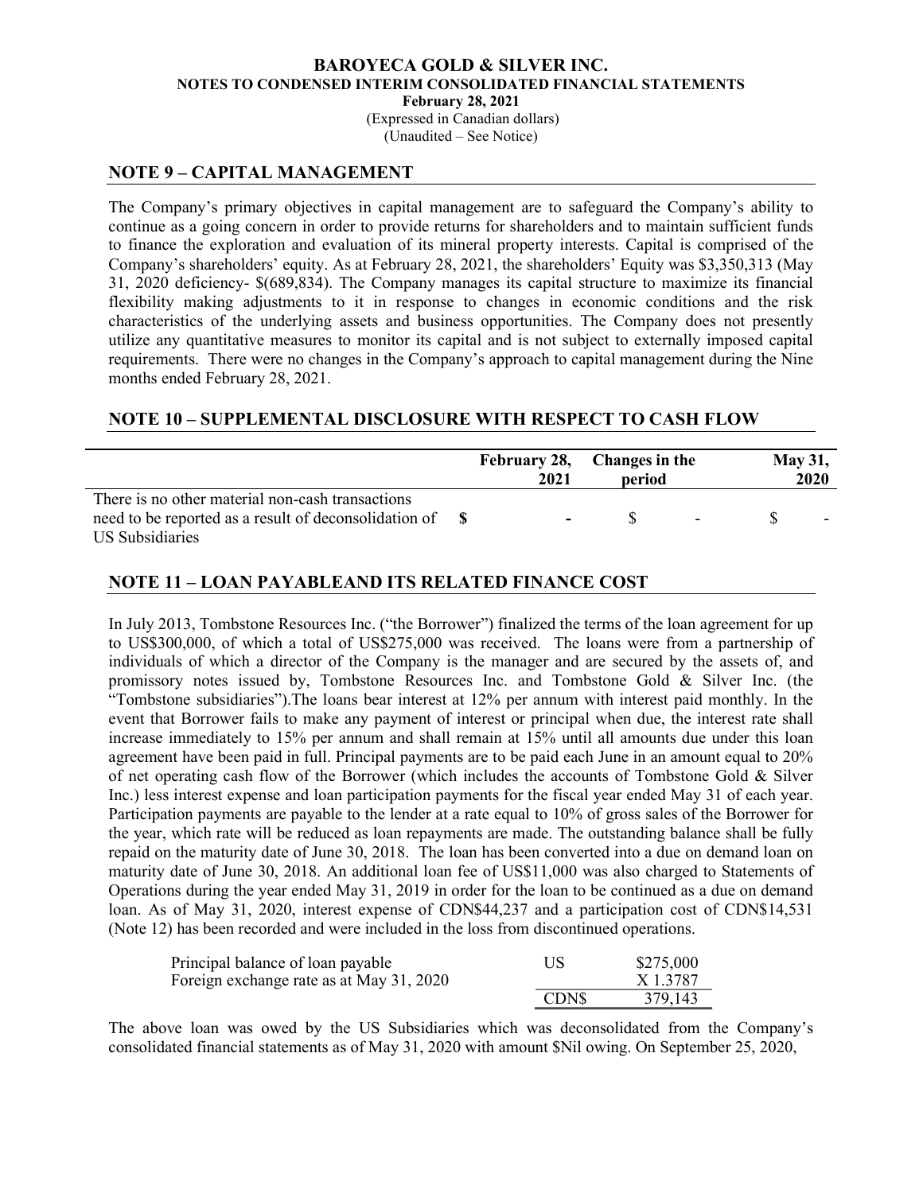(Expressed in Canadian dollars) (Unaudited – See Notice)

### NOTE 9 – CAPITAL MANAGEMENT

The Company's primary objectives in capital management are to safeguard the Company's ability to continue as a going concern in order to provide returns for shareholders and to maintain sufficient funds to finance the exploration and evaluation of its mineral property interests. Capital is comprised of the Company's shareholders' equity. As at February 28, 2021, the shareholders' Equity was \$3,350,313 (May 31, 2020 deficiency- \$(689,834). The Company manages its capital structure to maximize its financial flexibility making adjustments to it in response to changes in economic conditions and the risk characteristics of the underlying assets and business opportunities. The Company does not presently utilize any quantitative measures to monitor its capital and is not subject to externally imposed capital requirements. There were no changes in the Company's approach to capital management during the Nine months ended February 28, 2021.

### NOTE 10 – SUPPLEMENTAL DISCLOSURE WITH RESPECT TO CASH FLOW

|                                                  | February 28, Changes in the<br>2021 | period |                          | <b>May 31,</b> | 2020 |
|--------------------------------------------------|-------------------------------------|--------|--------------------------|----------------|------|
| There is no other material non-cash transactions |                                     |        | <b>Contract Contract</b> |                |      |
| US Subsidiaries                                  |                                     |        |                          |                |      |

### NOTE 11 – LOAN PAYABLEAND ITS RELATED FINANCE COST

In July 2013, Tombstone Resources Inc. ("the Borrower") finalized the terms of the loan agreement for up to US\$300,000, of which a total of US\$275,000 was received. The loans were from a partnership of individuals of which a director of the Company is the manager and are secured by the assets of, and promissory notes issued by, Tombstone Resources Inc. and Tombstone Gold & Silver Inc. (the "Tombstone subsidiaries").The loans bear interest at 12% per annum with interest paid monthly. In the event that Borrower fails to make any payment of interest or principal when due, the interest rate shall increase immediately to 15% per annum and shall remain at 15% until all amounts due under this loan agreement have been paid in full. Principal payments are to be paid each June in an amount equal to 20% of net operating cash flow of the Borrower (which includes the accounts of Tombstone Gold & Silver Inc.) less interest expense and loan participation payments for the fiscal year ended May 31 of each year. Participation payments are payable to the lender at a rate equal to 10% of gross sales of the Borrower for the year, which rate will be reduced as loan repayments are made. The outstanding balance shall be fully repaid on the maturity date of June 30, 2018. The loan has been converted into a due on demand loan on maturity date of June 30, 2018. An additional loan fee of US\$11,000 was also charged to Statements of Operations during the year ended May 31, 2019 in order for the loan to be continued as a due on demand loan. As of May 31, 2020, interest expense of CDN\$44,237 and a participation cost of CDN\$14,531 (Note 12) has been recorded and were included in the loss from discontinued operations.

| Principal balance of loan payable        | US          | \$275,000 |
|------------------------------------------|-------------|-----------|
| Foreign exchange rate as at May 31, 2020 |             | X 1.3787  |
|                                          | <b>CDNS</b> | 379,143   |

The above loan was owed by the US Subsidiaries which was deconsolidated from the Company's consolidated financial statements as of May 31, 2020 with amount \$Nil owing. On September 25, 2020,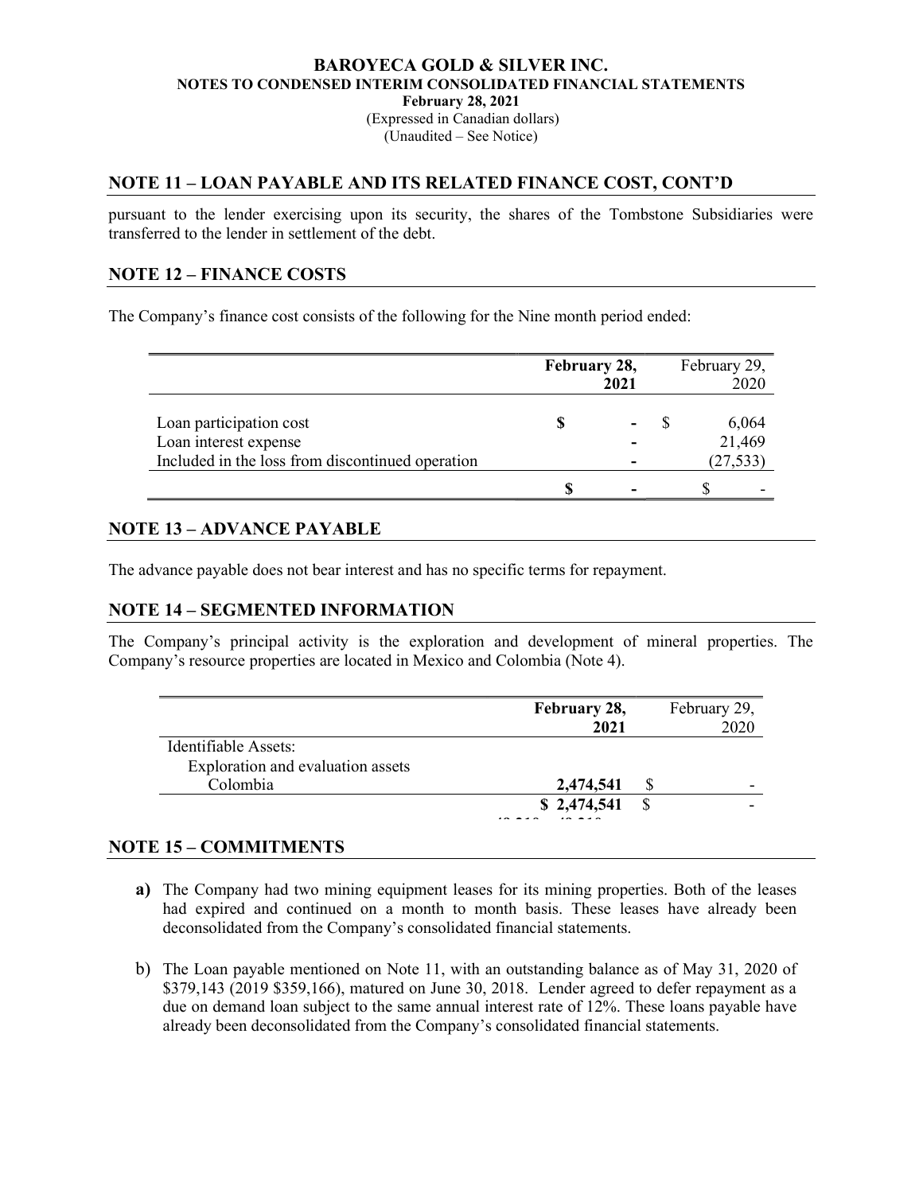### BAROYECA GOLD & SILVER INC. NOTES TO CONDENSED INTERIM CONSOLIDATED FINANCIAL STATEMENTS February 28, 2021 (Expressed in Canadian dollars)

(Unaudited – See Notice)

# NOTE 11 – LOAN PAYABLE AND ITS RELATED FINANCE COST, CONT'D

pursuant to the lender exercising upon its security, the shares of the Tombstone Subsidiaries were transferred to the lender in settlement of the debt.

# NOTE 12 – FINANCE COSTS

The Company's finance cost consists of the following for the Nine month period ended:

|                                                                                                      | February 28, | 2021 | February 29,<br>2020         |  |
|------------------------------------------------------------------------------------------------------|--------------|------|------------------------------|--|
| Loan participation cost<br>Loan interest expense<br>Included in the loss from discontinued operation |              |      | 6,064<br>21,469<br>(27, 533) |  |
|                                                                                                      |              |      |                              |  |

# NOTE 13 – ADVANCE PAYABLE

The advance payable does not bear interest and has no specific terms for repayment.

### NOTE 14 – SEGMENTED INFORMATION

The Company's principal activity is the exploration and development of mineral properties. The Company's resource properties are located in Mexico and Colombia (Note 4).

|                                   | February 28, | February 29, |
|-----------------------------------|--------------|--------------|
|                                   | 2021         | 2020         |
| Identifiable Assets:              |              |              |
| Exploration and evaluation assets |              |              |
| Colombia                          | 2,474,541    | -            |
|                                   | \$2,474,541  |              |
|                                   |              |              |

### NOTE 15 – COMMITMENTS

- a) The Company had two mining equipment leases for its mining properties. Both of the leases had expired and continued on a month to month basis. These leases have already been deconsolidated from the Company's consolidated financial statements.
- b) The Loan payable mentioned on Note 11, with an outstanding balance as of May 31, 2020 of \$379,143 (2019 \$359,166), matured on June 30, 2018. Lender agreed to defer repayment as a due on demand loan subject to the same annual interest rate of 12%. These loans payable have already been deconsolidated from the Company's consolidated financial statements.